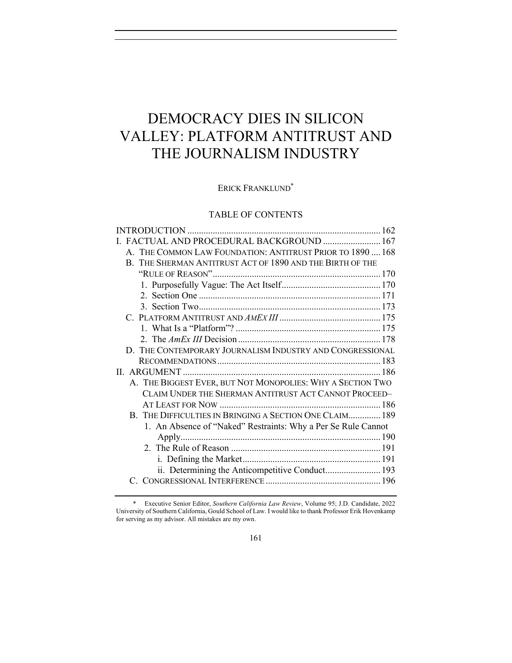# DEMOCRACY DIES IN SILICON VALLEY: PLATFORM ANTITRUST AND THE JOURNALISM INDUSTRY

# ERICK FRANKLUND<sup>\*</sup>

# TABLE OF CONTENTS

| I. FACTUAL AND PROCEDURAL BACKGROUND  167                     |  |
|---------------------------------------------------------------|--|
| A. THE COMMON LAW FOUNDATION: ANTITRUST PRIOR TO 1890  168    |  |
| B. THE SHERMAN ANTITRUST ACT OF 1890 AND THE BIRTH OF THE     |  |
|                                                               |  |
|                                                               |  |
|                                                               |  |
|                                                               |  |
|                                                               |  |
|                                                               |  |
|                                                               |  |
| D. THE CONTEMPORARY JOURNALISM INDUSTRY AND CONGRESSIONAL     |  |
|                                                               |  |
|                                                               |  |
| A. THE BIGGEST EVER, BUT NOT MONOPOLIES: WHY A SECTION TWO    |  |
| CLAIM UNDER THE SHERMAN ANTITRUST ACT CANNOT PROCEED-         |  |
|                                                               |  |
| B. THE DIFFICULTIES IN BRINGING A SECTION ONE CLAIM 189       |  |
| 1. An Absence of "Naked" Restraints: Why a Per Se Rule Cannot |  |
|                                                               |  |
|                                                               |  |
|                                                               |  |
| ii. Determining the Anticompetitive Conduct 193               |  |
|                                                               |  |

<sup>\*</sup> Executive Senior Editor, *Southern California Law Review*, Volume 95; J.D. Candidate, 2022 University of Southern California, Gould School of Law. I would like to thank Professor Erik Hovenkamp for serving as my advisor. All mistakes are my own.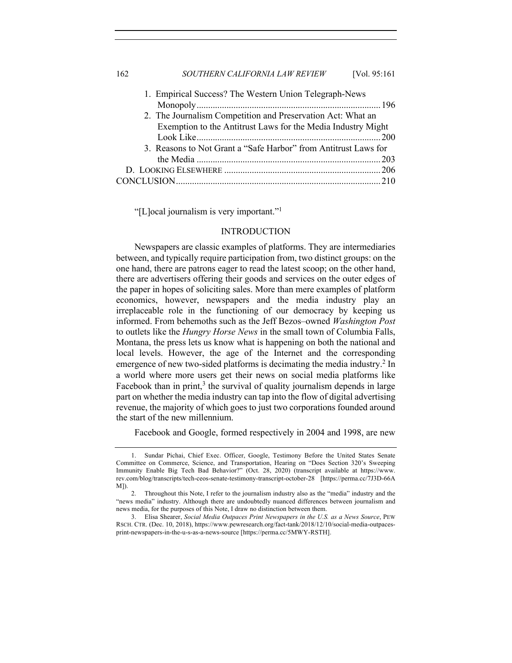# 162 *SOUTHERN CALIFORNIA LAW REVIEW* [Vol. 95:161

| 1. Empirical Success? The Western Union Telegraph-News          |  |
|-----------------------------------------------------------------|--|
| 2. The Journalism Competition and Preservation Act: What an     |  |
| Exemption to the Antitrust Laws for the Media Industry Might    |  |
|                                                                 |  |
| 3. Reasons to Not Grant a "Safe Harbor" from Antitrust Laws for |  |
|                                                                 |  |
|                                                                 |  |
|                                                                 |  |

"[L]ocal journalism is very important."1

## INTRODUCTION

Newspapers are classic examples of platforms. They are intermediaries between, and typically require participation from, two distinct groups: on the one hand, there are patrons eager to read the latest scoop; on the other hand, there are advertisers offering their goods and services on the outer edges of the paper in hopes of soliciting sales. More than mere examples of platform economics, however, newspapers and the media industry play an irreplaceable role in the functioning of our democracy by keeping us informed. From behemoths such as the Jeff Bezos–owned *Washington Post* to outlets like the *Hungry Horse News* in the small town of Columbia Falls, Montana, the press lets us know what is happening on both the national and local levels. However, the age of the Internet and the corresponding emergence of new two-sided platforms is decimating the media industry.<sup>2</sup> In a world where more users get their news on social media platforms like Facebook than in print,<sup>3</sup> the survival of quality journalism depends in large part on whether the media industry can tap into the flow of digital advertising revenue, the majority of which goes to just two corporations founded around the start of the new millennium.

Facebook and Google, formed respectively in 2004 and 1998, are new

<sup>1.</sup> Sundar Pichai, Chief Exec. Officer, Google, Testimony Before the United States Senate Committee on Commerce, Science, and Transportation, Hearing on "Does Section 320's Sweeping Immunity Enable Big Tech Bad Behavior?" (Oct. 28, 2020) (transcript available at https://www. rev.com/blog/transcripts/tech-ceos-senate-testimony-transcript-october-28 [https://perma.cc/7J3D-66A  $M$ ] $)$ 

<sup>2.</sup> Throughout this Note, I refer to the journalism industry also as the "media" industry and the "news media" industry. Although there are undoubtedly nuanced differences between journalism and news media, for the purposes of this Note, I draw no distinction between them.

<sup>3.</sup> Elisa Shearer, *Social Media Outpaces Print Newspapers in the U.S. as a News Source*, PEW RSCH. CTR. (Dec. 10, 2018), https://www.pewresearch.org/fact-tank/2018/12/10/social-media-outpacesprint-newspapers-in-the-u-s-as-a-news-source [https://perma.cc/5MWY-RSTH].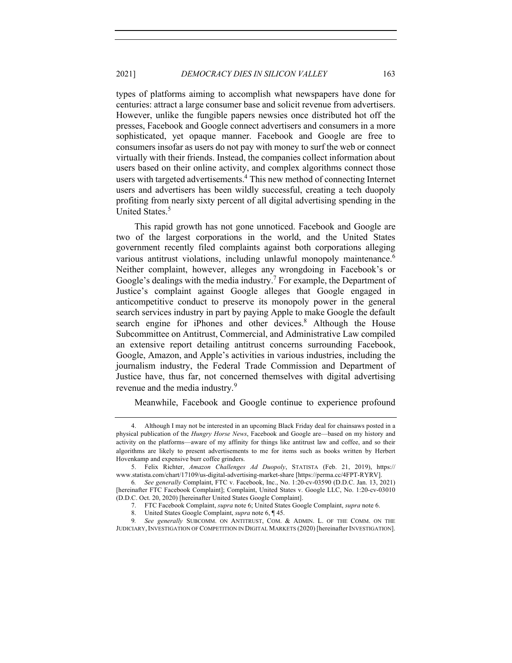types of platforms aiming to accomplish what newspapers have done for centuries: attract a large consumer base and solicit revenue from advertisers. However, unlike the fungible papers newsies once distributed hot off the presses, Facebook and Google connect advertisers and consumers in a more sophisticated, yet opaque manner. Facebook and Google are free to consumers insofar as users do not pay with money to surf the web or connect virtually with their friends. Instead, the companies collect information about users based on their online activity, and complex algorithms connect those users with targeted advertisements.4 This new method of connecting Internet users and advertisers has been wildly successful, creating a tech duopoly profiting from nearly sixty percent of all digital advertising spending in the United States.<sup>5</sup>

This rapid growth has not gone unnoticed. Facebook and Google are two of the largest corporations in the world, and the United States government recently filed complaints against both corporations alleging various antitrust violations, including unlawful monopoly maintenance.<sup>6</sup> Neither complaint, however, alleges any wrongdoing in Facebook's or Google's dealings with the media industry.<sup>7</sup> For example, the Department of Justice's complaint against Google alleges that Google engaged in anticompetitive conduct to preserve its monopoly power in the general search services industry in part by paying Apple to make Google the default search engine for iPhones and other devices.<sup>8</sup> Although the House Subcommittee on Antitrust, Commercial, and Administrative Law compiled an extensive report detailing antitrust concerns surrounding Facebook, Google, Amazon, and Apple's activities in various industries, including the journalism industry, the Federal Trade Commission and Department of Justice have, thus far, not concerned themselves with digital advertising revenue and the media industry.<sup>9</sup>

Meanwhile, Facebook and Google continue to experience profound

<sup>4.</sup> Although I may not be interested in an upcoming Black Friday deal for chainsaws posted in a physical publication of the *Hungry Horse News*, Facebook and Google are—based on my history and activity on the platforms—aware of my affinity for things like antitrust law and coffee, and so their algorithms are likely to present advertisements to me for items such as books written by Herbert Hovenkamp and expensive burr coffee grinders.

<sup>5.</sup> Felix Richter, *Amazon Challenges Ad Duopoly*, STATISTA (Feb. 21, 2019), https:// www.statista.com/chart/17109/us-digital-advertising-market-share [https://perma.cc/4FPT-RYRV].

<sup>6</sup>*. See generally* Complaint, FTC v. Facebook, Inc., No. 1:20-cv-03590 (D.D.C. Jan. 13, 2021) [hereinafter FTC Facebook Complaint]; Complaint, United States v. Google LLC, No. 1:20-cv-03010 (D.D.C. Oct. 20, 2020) [hereinafter United States Google Complaint].

<sup>7.</sup> FTC Facebook Complaint, *supra* note 6; United States Google Complaint, *supra* note 6.

<sup>8.</sup> United States Google Complaint, *supra* note 6, ¶ 45.

<sup>9</sup>*. See generally* SUBCOMM. ON ANTITRUST, COM. & ADMIN. L. OF THE COMM. ON THE JUDICIARY,INVESTIGATION OF COMPETITION IN DIGITAL MARKETS (2020) [hereinafter INVESTIGATION].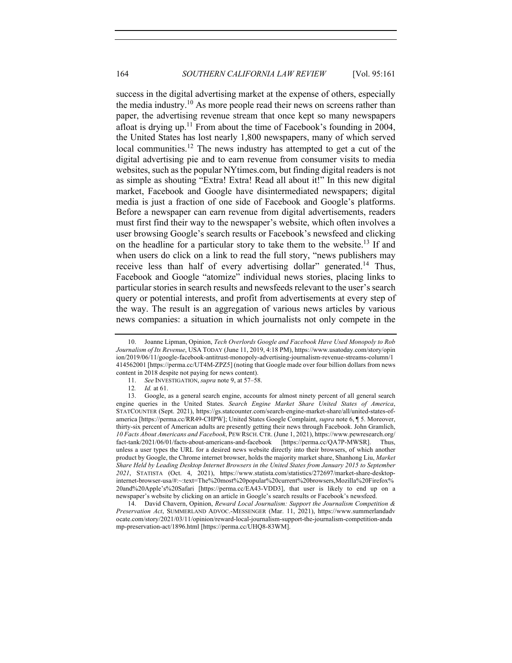success in the digital advertising market at the expense of others, especially the media industry.<sup>10</sup> As more people read their news on screens rather than paper, the advertising revenue stream that once kept so many newspapers afloat is drying up.<sup>11</sup> From about the time of Facebook's founding in 2004, the United States has lost nearly 1,800 newspapers, many of which served local communities.<sup>12</sup> The news industry has attempted to get a cut of the digital advertising pie and to earn revenue from consumer visits to media websites, such as the popular NYtimes.com, but finding digital readers is not as simple as shouting "Extra! Extra! Read all about it!" In this new digital market, Facebook and Google have disintermediated newspapers; digital media is just a fraction of one side of Facebook and Google's platforms. Before a newspaper can earn revenue from digital advertisements, readers must first find their way to the newspaper's website, which often involves a user browsing Google's search results or Facebook's newsfeed and clicking on the headline for a particular story to take them to the website.<sup>13</sup> If and when users do click on a link to read the full story, "news publishers may receive less than half of every advertising dollar" generated.<sup>14</sup> Thus, Facebook and Google "atomize" individual news stories, placing links to particular stories in search results and newsfeeds relevant to the user's search query or potential interests, and profit from advertisements at every step of the way. The result is an aggregation of various news articles by various news companies: a situation in which journalists not only compete in the

<sup>10.</sup> Joanne Lipman, Opinion, *Tech Overlords Google and Facebook Have Used Monopoly to Rob Journalism of Its Revenue*, USA TODAY (June 11, 2019, 4:18 PM), https://www.usatoday.com/story/opin ion/2019/06/11/google-facebook-antitrust-monopoly-advertising-journalism-revenue-streams-column/1 414562001 [https://perma.cc/UT4M-ZPZ5] (noting that Google made over four billion dollars from news content in 2018 despite not paying for news content).

<sup>11.</sup> *See* INVESTIGATION, *supra* note 9, at 57–58.

<sup>12</sup>*. Id.* at 61.

<sup>13.</sup> Google, as a general search engine, accounts for almost ninety percent of all general search engine queries in the United States. *Search Engine Market Share United States of America*, STATCOUNTER (Sept. 2021), https://gs.statcounter.com/search-engine-market-share/all/united-states-ofamerica [https://perma.cc/RR49-CHPW]; United States Google Complaint, *supra* note 6, ¶ 5. Moreover, thirty-six percent of American adults are presently getting their news through Facebook. John Gramlich, *10 Facts About Americans and Facebook*, PEW RSCH. CTR. (June 1, 2021), https://www.pewresearch.org/ fact-tank/2021/06/01/facts-about-americans-and-facebook [https://perma.cc/QA7P-MWSR]. Thus, unless a user types the URL for a desired news website directly into their browsers, of which another product by Google, the Chrome internet browser, holds the majority market share, Shanhong Liu, *Market Share Held by Leading Desktop Internet Browsers in the United States from January 2015 to September 2021*, STATISTA (Oct. 4, 2021), https://www.statista.com/statistics/272697/market-share-desktopinternet-browser-usa/#:~:text=The%20most%20popular%20current%20browsers,Mozilla%20Firefox% 20and%20Apple's%20Safari [https://perma.cc/EA43-VDD3], that user is likely to end up on a newspaper's website by clicking on an article in Google's search results or Facebook's newsfeed.

<sup>14.</sup> David Chavern, Opinion, *Reward Local Journalism: Support the Journalism Competition & Preservation Act*, SUMMERLAND ADVOC.-MESSENGER (Mar. 11, 2021), https://www.summerlandadv ocate.com/story/2021/03/11/opinion/reward-local-journalism-support-the-journalism-competition-anda mp-preservation-act/1896.html [https://perma.cc/UHQ8-83WM].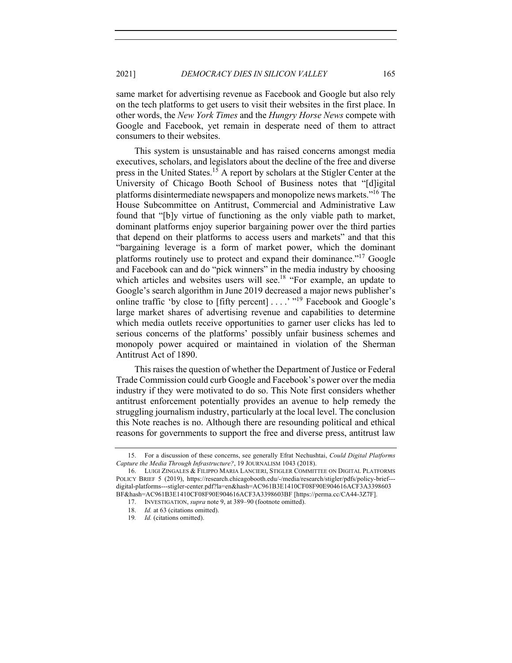same market for advertising revenue as Facebook and Google but also rely on the tech platforms to get users to visit their websites in the first place. In other words, the *New York Times* and the *Hungry Horse News* compete with Google and Facebook, yet remain in desperate need of them to attract consumers to their websites.

This system is unsustainable and has raised concerns amongst media executives, scholars, and legislators about the decline of the free and diverse press in the United States.<sup>15</sup> A report by scholars at the Stigler Center at the University of Chicago Booth School of Business notes that "[d]igital platforms disintermediate newspapers and monopolize news markets."16 The House Subcommittee on Antitrust, Commercial and Administrative Law found that "[b]y virtue of functioning as the only viable path to market, dominant platforms enjoy superior bargaining power over the third parties that depend on their platforms to access users and markets" and that this "bargaining leverage is a form of market power, which the dominant platforms routinely use to protect and expand their dominance."17 Google and Facebook can and do "pick winners" in the media industry by choosing which articles and websites users will see.<sup>18</sup> "For example, an update to Google's search algorithm in June 2019 decreased a major news publisher's online traffic 'by close to [fifty percent] . . . . '"<sup>19</sup> Facebook and Google's large market shares of advertising revenue and capabilities to determine which media outlets receive opportunities to garner user clicks has led to serious concerns of the platforms' possibly unfair business schemes and monopoly power acquired or maintained in violation of the Sherman Antitrust Act of 1890.

This raises the question of whether the Department of Justice or Federal Trade Commission could curb Google and Facebook's power over the media industry if they were motivated to do so. This Note first considers whether antitrust enforcement potentially provides an avenue to help remedy the struggling journalism industry, particularly at the local level. The conclusion this Note reaches is no. Although there are resounding political and ethical reasons for governments to support the free and diverse press, antitrust law

<sup>15.</sup> For a discussion of these concerns, see generally Efrat Nechushtai, *Could Digital Platforms Capture the Media Through Infrastructure?*, 19 JOURNALISM 1043 (2018).

<sup>16.</sup> LUIGI ZINGALES & FILIPPO MARIA LANCIERI, STIGLER COMMITTEE ON DIGITAL PLATFORMS POLICY BRIEF 5 (2019), https://research.chicagobooth.edu/-/media/research/stigler/pdfs/policy-brief-- digital-platforms---stigler-center.pdf?la=en&hash=AC961B3E1410CF08F90E904616ACF3A3398603 BF&hash=AC961B3E1410CF08F90E904616ACF3A3398603BF [https://perma.cc/CA44-3Z7F].

<sup>17.</sup> INVESTIGATION, *supra* note 9, at 389–90 (footnote omitted).

<sup>18.</sup> *Id.* at 63 (citations omitted).

<sup>19</sup>*. Id.* (citations omitted).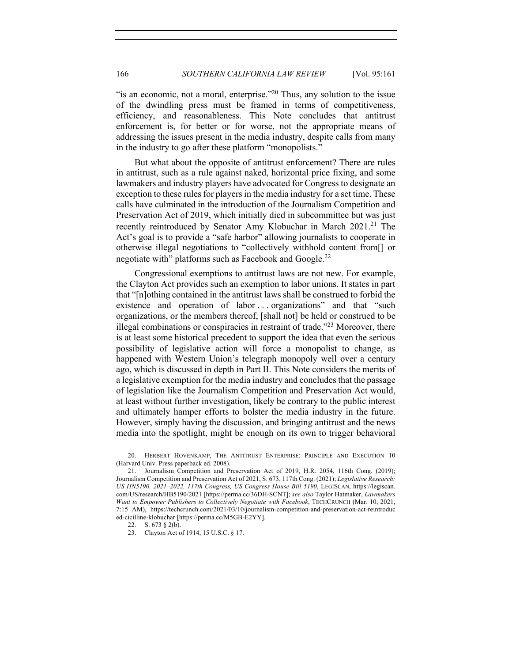"is an economic, not a moral, enterprise."<sup>20</sup> Thus, any solution to the issue of the dwindling press must be framed in terms of competitiveness, efficiency, and reasonableness. This Note concludes that antitrust enforcement is, for better or for worse, not the appropriate means of addressing the issues present in the media industry, despite calls from many in the industry to go after these platform "monopolists."

But what about the opposite of antitrust enforcement? There are rules in antitrust, such as a rule against naked, horizontal price fixing, and some lawmakers and industry players have advocated for Congress to designate an exception to these rules for players in the media industry for a set time. These calls have culminated in the introduction of the Journalism Competition and Preservation Act of 2019, which initially died in subcommittee but was just recently reintroduced by Senator Amy Klobuchar in March 2021.<sup>21</sup> The Act's goal is to provide a "safe harbor" allowing journalists to cooperate in otherwise illegal negotiations to "collectively withhold content from[] or negotiate with" platforms such as Facebook and Google.<sup>22</sup>

Congressional exemptions to antitrust laws are not new. For example, the Clayton Act provides such an exemption to labor unions. It states in part that "[n]othing contained in the antitrust laws shall be construed to forbid the existence and operation of labor ... organizations" and that "such organizations, or the members thereof, [shall not] be held or construed to be illegal combinations or conspiracies in restraint of trade.<sup> $22$ </sup> Moreover, there is at least some historical precedent to support the idea that even the serious possibility of legislative action will force a monopolist to change, as happened with Western Union's telegraph monopoly well over a century ago, which is discussed in depth in Part II. This Note considers the merits of a legislative exemption for the media industry and concludes that the passage of legislation like the Journalism Competition and Preservation Act would, at least without further investigation, likely be contrary to the public interest and ultimately hamper efforts to bolster the media industry in the future. However, simply having the discussion, and bringing antitrust and the news media into the spotlight, might be enough on its own to trigger behavioral

<sup>20.</sup> HERBERT HOVENKAMP, THE ANTITRUST ENTERPRISE: PRINCIPLE AND EXECUTION 10 (Harvard Univ. Press paperback ed. 2008).

<sup>21.</sup> Journalism Competition and Preservation Act of 2019, H.R. 2054, 116th Cong. (2019); Journalism Competition and Preservation Act of 2021, S. 673, 117th Cong. (2021); *Legislative Research: US HN5190, 2021–2022, 117th Congress, US Congress House Bill 5190*, LEGISCAN, https://legiscan. com/US/research/HB5190/2021 [https://perma.cc/36DH-SCNT]; *see also* Taylor Hatmaker, *Lawmakers Want to Empower Publishers to Collectively Negotiate with Facebook*, TECHCRUNCH (Mar. 10, 2021, 7:15 AM), https://techcrunch.com/2021/03/10/journalism-competition-and-preservation-act-reintroduc ed-cicilline-klobuchar [https://perma.cc/M5GB-E2YY].

<sup>22.</sup> S. 673 § 2(b).

<sup>23.</sup> Clayton Act of 1914, 15 U.S.C. § 17.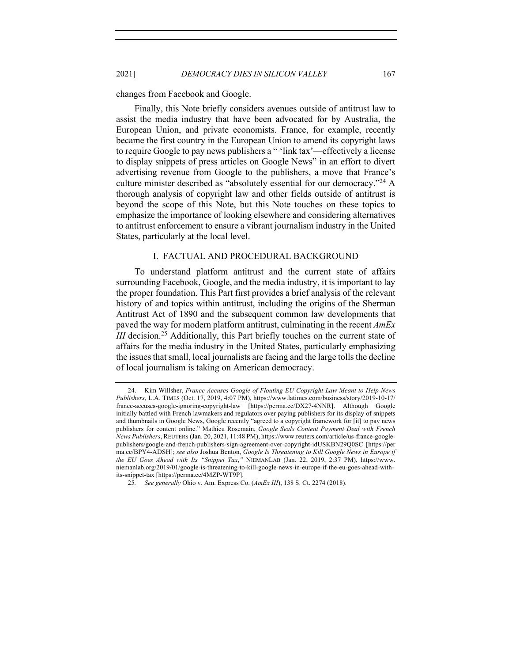changes from Facebook and Google.

Finally, this Note briefly considers avenues outside of antitrust law to assist the media industry that have been advocated for by Australia, the European Union, and private economists. France, for example, recently became the first country in the European Union to amend its copyright laws to require Google to pay news publishers a " 'link tax'—effectively a license to display snippets of press articles on Google News" in an effort to divert advertising revenue from Google to the publishers, a move that France's culture minister described as "absolutely essential for our democracy."<sup>24</sup> A thorough analysis of copyright law and other fields outside of antitrust is beyond the scope of this Note, but this Note touches on these topics to emphasize the importance of looking elsewhere and considering alternatives to antitrust enforcement to ensure a vibrant journalism industry in the United States, particularly at the local level.

#### I. FACTUAL AND PROCEDURAL BACKGROUND

To understand platform antitrust and the current state of affairs surrounding Facebook, Google, and the media industry, it is important to lay the proper foundation. This Part first provides a brief analysis of the relevant history of and topics within antitrust, including the origins of the Sherman Antitrust Act of 1890 and the subsequent common law developments that paved the way for modern platform antitrust, culminating in the recent *AmEx III* decision.<sup>25</sup> Additionally, this Part briefly touches on the current state of affairs for the media industry in the United States, particularly emphasizing the issues that small, local journalists are facing and the large tolls the decline of local journalism is taking on American democracy.

<sup>24.</sup> Kim Willsher, *France Accuses Google of Flouting EU Copyright Law Meant to Help News Publishers*, L.A. TIMES (Oct. 17, 2019, 4:07 PM), https://www.latimes.com/business/story/2019-10-17/ france-accuses-google-ignoring-copyright-law [https://perma.cc/DX27-4NNR]. Although Google initially battled with French lawmakers and regulators over paying publishers for its display of snippets and thumbnails in Google News, Google recently "agreed to a copyright framework for [it] to pay news publishers for content online." Mathieu Rosemain, *Google Seals Content Payment Deal with French News Publishers*, REUTERS (Jan. 20, 2021, 11:48 PM), https://www.reuters.com/article/us-france-googlepublishers/google-and-french-publishers-sign-agreement-over-copyright-idUSKBN29Q0SC [https://per ma.cc/BPY4-ADSH]; *see also* Joshua Benton, *Google Is Threatening to Kill Google News in Europe if the EU Goes Ahead with Its "Snippet Tax*,*"* NIEMANLAB (Jan. 22, 2019, 2:37 PM), https://www. niemanlab.org/2019/01/google-is-threatening-to-kill-google-news-in-europe-if-the-eu-goes-ahead-withits-snippet-tax [https://perma.cc/4MZP-WT9P].

<sup>25</sup>*. See generally* Ohio v. Am. Express Co. (*AmEx III*), 138 S. Ct. 2274 (2018).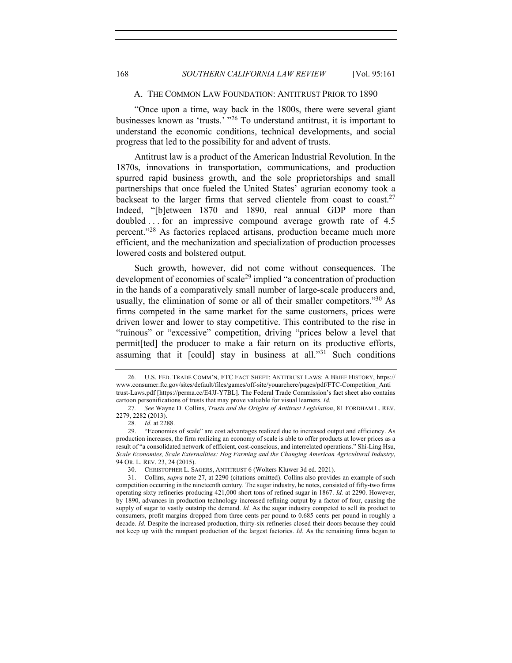#### A. THE COMMON LAW FOUNDATION: ANTITRUST PRIOR TO 1890

"Once upon a time, way back in the 1800s, there were several giant businesses known as 'trusts.' "<sup>26</sup> To understand antitrust, it is important to understand the economic conditions, technical developments, and social progress that led to the possibility for and advent of trusts.

Antitrust law is a product of the American Industrial Revolution. In the 1870s, innovations in transportation, communications, and production spurred rapid business growth, and the sole proprietorships and small partnerships that once fueled the United States' agrarian economy took a backseat to the larger firms that served clientele from coast to coast.<sup>27</sup> Indeed, "[b]etween 1870 and 1890, real annual GDP more than doubled ... for an impressive compound average growth rate of 4.5 percent."<sup>28</sup> As factories replaced artisans, production became much more efficient, and the mechanization and specialization of production processes lowered costs and bolstered output.

Such growth, however, did not come without consequences. The development of economies of scale<sup>29</sup> implied "a concentration of production in the hands of a comparatively small number of large-scale producers and, usually, the elimination of some or all of their smaller competitors."<sup>30</sup> As firms competed in the same market for the same customers, prices were driven lower and lower to stay competitive. This contributed to the rise in "ruinous" or "excessive" competition, driving "prices below a level that permit[ted] the producer to make a fair return on its productive efforts, assuming that it  $\lceil \text{could} \rceil$  stay in business at all."<sup>31</sup> Such conditions

<sup>26</sup>*.* U.S. FED. TRADE COMM'N, FTC FACT SHEET: ANTITRUST LAWS: A BRIEF HISTORY, https:// www.consumer.ftc.gov/sites/default/files/games/off-site/youarehere/pages/pdf/FTC-Competition\_Anti trust-Laws.pdf [https://perma.cc/E4JJ-Y7BL]. The Federal Trade Commission's fact sheet also contains cartoon personifications of trusts that may prove valuable for visual learners. *Id.*

<sup>27</sup>*. See* Wayne D. Collins, *Trusts and the Origins of Antitrust Legislation*, 81 FORDHAM L. REV. 2279, 2282 (2013).

<sup>28</sup>*. Id.* at 2288.

<sup>29.</sup> "Economies of scale" are cost advantages realized due to increased output and efficiency. As production increases, the firm realizing an economy of scale is able to offer products at lower prices as a result of "a consolidated network of efficient, cost-conscious, and interrelated operations." Shi-Ling Hsu, *Scale Economies, Scale Externalities: Hog Farming and the Changing American Agricultural Industry*, 94 OR. L. REV. 23, 24 (2015).

<sup>30.</sup> CHRISTOPHER L. SAGERS, ANTITRUST 6 (Wolters Kluwer 3d ed. 2021).

<sup>31.</sup> Collins, *supra* note 27, at 2290 (citations omitted). Collins also provides an example of such competition occurring in the nineteenth century. The sugar industry, he notes, consisted of fifty-two firms operating sixty refineries producing 421,000 short tons of refined sugar in 1867. *Id.* at 2290. However, by 1890, advances in production technology increased refining output by a factor of four, causing the supply of sugar to vastly outstrip the demand. *Id.* As the sugar industry competed to sell its product to consumers, profit margins dropped from three cents per pound to 0.685 cents per pound in roughly a decade. *Id.* Despite the increased production, thirty-six refineries closed their doors because they could not keep up with the rampant production of the largest factories. *Id.* As the remaining firms began to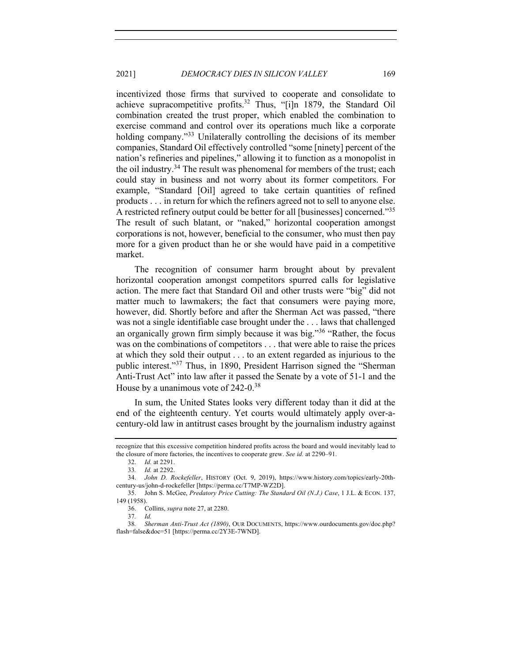incentivized those firms that survived to cooperate and consolidate to achieve supracompetitive profits.<sup>32</sup> Thus, "[i]n 1879, the Standard Oil combination created the trust proper, which enabled the combination to exercise command and control over its operations much like a corporate holding company."<sup>33</sup> Unilaterally controlling the decisions of its member companies, Standard Oil effectively controlled "some [ninety] percent of the nation's refineries and pipelines," allowing it to function as a monopolist in the oil industry.<sup>34</sup> The result was phenomenal for members of the trust; each could stay in business and not worry about its former competitors. For example, "Standard [Oil] agreed to take certain quantities of refined products . . . in return for which the refiners agreed not to sell to anyone else. A restricted refinery output could be better for all [businesses] concerned."35 The result of such blatant, or "naked," horizontal cooperation amongst corporations is not, however, beneficial to the consumer, who must then pay more for a given product than he or she would have paid in a competitive market.

The recognition of consumer harm brought about by prevalent horizontal cooperation amongst competitors spurred calls for legislative action. The mere fact that Standard Oil and other trusts were "big" did not matter much to lawmakers; the fact that consumers were paying more, however, did. Shortly before and after the Sherman Act was passed, "there was not a single identifiable case brought under the . . . laws that challenged an organically grown firm simply because it was big."<sup>36</sup> "Rather, the focus was on the combinations of competitors . . . that were able to raise the prices at which they sold their output . . . to an extent regarded as injurious to the public interest."<sup>37</sup> Thus, in 1890, President Harrison signed the "Sherman Anti-Trust Act" into law after it passed the Senate by a vote of 51-1 and the House by a unanimous vote of 242-0.<sup>38</sup>

In sum, the United States looks very different today than it did at the end of the eighteenth century. Yet courts would ultimately apply over-acentury-old law in antitrust cases brought by the journalism industry against

recognize that this excessive competition hindered profits across the board and would inevitably lead to the closure of more factories, the incentives to cooperate grew. *See id.* at 2290–91.

<sup>32.</sup> *Id.* at 2291.

<sup>33</sup>*. Id.* at 2292.

<sup>34.</sup> *John D. Rockefeller*, HISTORY (Oct. 9, 2019), https://www.history.com/topics/early-20thcentury-us/john-d-rockefeller [https://perma.cc/T7MP-WZ2D].

<sup>35.</sup> John S. McGee, *Predatory Price Cutting: The Standard Oil (N.J.) Case*, 1 J.L. & ECON. 137, 149 (1958).

<sup>36.</sup> Collins, *supra* note 27, at 2280.

<sup>37</sup>*. Id.*

<sup>38</sup>*. Sherman Anti-Trust Act (1890)*, OUR DOCUMENTS, https://www.ourdocuments.gov/doc.php? flash=false&doc=51 [https://perma.cc/2Y3E-7WND].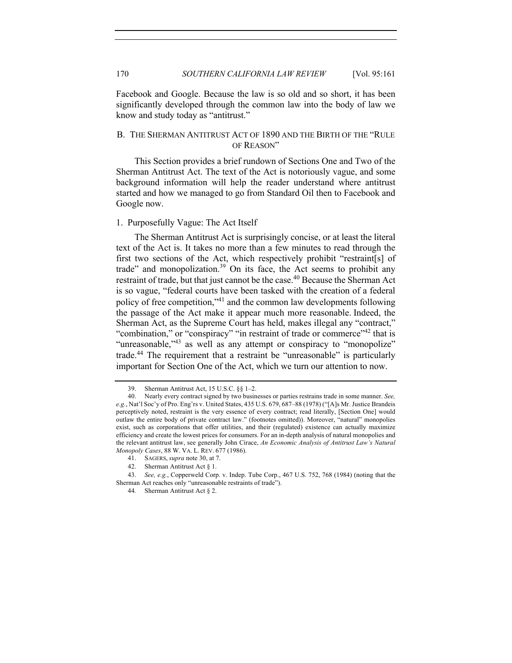Facebook and Google. Because the law is so old and so short, it has been significantly developed through the common law into the body of law we know and study today as "antitrust."

# B. THE SHERMAN ANTITRUST ACT OF 1890 AND THE BIRTH OF THE "RULE OF REASON"

This Section provides a brief rundown of Sections One and Two of the Sherman Antitrust Act. The text of the Act is notoriously vague, and some background information will help the reader understand where antitrust started and how we managed to go from Standard Oil then to Facebook and Google now.

# 1. Purposefully Vague: The Act Itself

The Sherman Antitrust Act is surprisingly concise, or at least the literal text of the Act is. It takes no more than a few minutes to read through the first two sections of the Act, which respectively prohibit "restraint[s] of trade" and monopolization. $39$  On its face, the Act seems to prohibit any restraint of trade, but that just cannot be the case.<sup>40</sup> Because the Sherman Act is so vague, "federal courts have been tasked with the creation of a federal policy of free competition,"41 and the common law developments following the passage of the Act make it appear much more reasonable. Indeed, the Sherman Act, as the Supreme Court has held, makes illegal any "contract," "combination," or "conspiracy" "in restraint of trade or commerce"<sup>42</sup> that is "unreasonable,"<sup>43</sup> as well as any attempt or conspiracy to "monopolize" trade.44 The requirement that a restraint be "unreasonable" is particularly important for Section One of the Act, which we turn our attention to now.

<sup>39.</sup> Sherman Antitrust Act, 15 U.S.C. §§ 1–2.

<sup>40.</sup> Nearly every contract signed by two businesses or parties restrains trade in some manner. *See, e.g.*, Nat'l Soc'y of Pro. Eng'rs v. United States, 435 U.S. 679, 687–88 (1978) ("[A]s Mr. Justice Brandeis perceptively noted, restraint is the very essence of every contract; read literally, [Section One] would outlaw the entire body of private contract law." (footnotes omitted)). Moreover, "natural" monopolies exist, such as corporations that offer utilities, and their (regulated) existence can actually maximize efficiency and create the lowest prices for consumers. For an in-depth analysis of natural monopolies and the relevant antitrust law, see generally John Cirace, *An Economic Analysis of Antitrust Law's Natural Monopoly Cases*, 88 W. VA. L. REV. 677 (1986).

<sup>41.</sup> SAGERS, *supra* note 30, at 7.

<sup>42.</sup> Sherman Antitrust Act § 1.

<sup>43.</sup> *See, e.g.*, Copperweld Corp. v. Indep. Tube Corp., 467 U.S. 752, 768 (1984) (noting that the Sherman Act reaches only "unreasonable restraints of trade").

<sup>44</sup>*.* Sherman Antitrust Act § 2.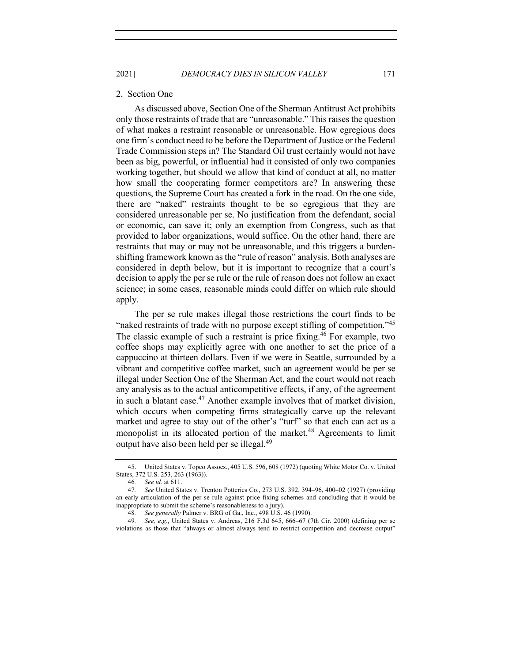2021] *DEMOCRACY DIES IN SILICON VALLEY* 171

#### 2. Section One

As discussed above, Section One of the Sherman Antitrust Act prohibits only those restraints of trade that are "unreasonable." This raises the question of what makes a restraint reasonable or unreasonable. How egregious does one firm's conduct need to be before the Department of Justice or the Federal Trade Commission steps in? The Standard Oil trust certainly would not have been as big, powerful, or influential had it consisted of only two companies working together, but should we allow that kind of conduct at all, no matter how small the cooperating former competitors are? In answering these questions, the Supreme Court has created a fork in the road. On the one side, there are "naked" restraints thought to be so egregious that they are considered unreasonable per se. No justification from the defendant, social or economic, can save it; only an exemption from Congress, such as that provided to labor organizations, would suffice. On the other hand, there are restraints that may or may not be unreasonable, and this triggers a burdenshifting framework known as the "rule of reason" analysis. Both analyses are considered in depth below, but it is important to recognize that a court's decision to apply the per se rule or the rule of reason does not follow an exact science; in some cases, reasonable minds could differ on which rule should apply.

The per se rule makes illegal those restrictions the court finds to be "naked restraints of trade with no purpose except stifling of competition."<sup>45</sup> The classic example of such a restraint is price fixing.<sup>46</sup> For example, two coffee shops may explicitly agree with one another to set the price of a cappuccino at thirteen dollars. Even if we were in Seattle, surrounded by a vibrant and competitive coffee market, such an agreement would be per se illegal under Section One of the Sherman Act, and the court would not reach any analysis as to the actual anticompetitive effects, if any, of the agreement in such a blatant case.<sup>47</sup> Another example involves that of market division, which occurs when competing firms strategically carve up the relevant market and agree to stay out of the other's "turf" so that each can act as a monopolist in its allocated portion of the market.<sup>48</sup> Agreements to limit output have also been held per se illegal.<sup>49</sup>

<sup>45.</sup> United States v. Topco Assocs., 405 U.S. 596, 608 (1972) (quoting White Motor Co. v. United States, 372 U.S. 253, 263 (1963)).

<sup>46</sup>*. See id.* at 611.

<sup>47</sup>*. See* United States v. Trenton Potteries Co., 273 U.S. 392, 394–96, 400–02 (1927) (providing an early articulation of the per se rule against price fixing schemes and concluding that it would be inappropriate to submit the scheme's reasonableness to a jury).

<sup>48</sup>*. See generally* Palmer v. BRG of Ga., Inc., 498 U.S. 46 (1990).

<sup>49</sup>*. See, e.g.*, United States v. Andreas, 216 F.3d 645, 666–67 (7th Cir. 2000) (defining per se violations as those that "always or almost always tend to restrict competition and decrease output"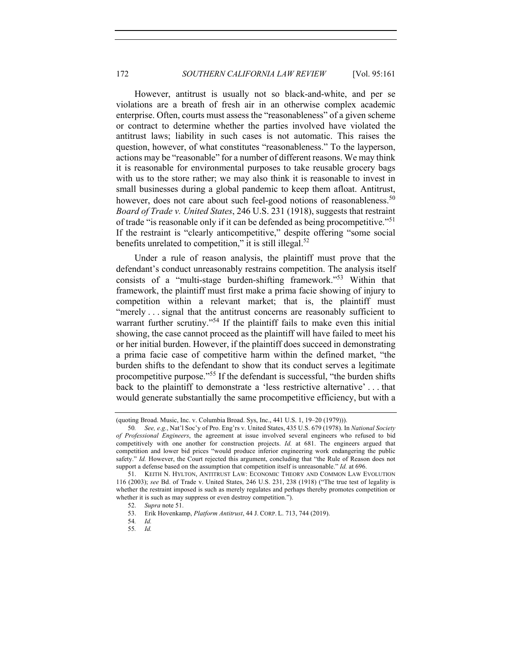However, antitrust is usually not so black-and-white, and per se violations are a breath of fresh air in an otherwise complex academic enterprise. Often, courts must assess the "reasonableness" of a given scheme or contract to determine whether the parties involved have violated the antitrust laws; liability in such cases is not automatic. This raises the question, however, of what constitutes "reasonableness." To the layperson, actions may be "reasonable" for a number of different reasons. We may think it is reasonable for environmental purposes to take reusable grocery bags with us to the store rather; we may also think it is reasonable to invest in small businesses during a global pandemic to keep them afloat. Antitrust, however, does not care about such feel-good notions of reasonableness.<sup>50</sup> *Board of Trade v. United States*, 246 U.S. 231 (1918), suggests that restraint of trade "is reasonable only if it can be defended as being procompetitive."<sup>51</sup> If the restraint is "clearly anticompetitive," despite offering "some social benefits unrelated to competition," it is still illegal. $52$ 

Under a rule of reason analysis, the plaintiff must prove that the defendant's conduct unreasonably restrains competition. The analysis itself consists of a "multi-stage burden-shifting framework."53 Within that framework, the plaintiff must first make a prima facie showing of injury to competition within a relevant market; that is, the plaintiff must "merely . . . signal that the antitrust concerns are reasonably sufficient to warrant further scrutiny."<sup>54</sup> If the plaintiff fails to make even this initial showing, the case cannot proceed as the plaintiff will have failed to meet his or her initial burden. However, if the plaintiff does succeed in demonstrating a prima facie case of competitive harm within the defined market, "the burden shifts to the defendant to show that its conduct serves a legitimate procompetitive purpose."55 If the defendant is successful, "the burden shifts back to the plaintiff to demonstrate a 'less restrictive alternative' . . . that would generate substantially the same procompetitive efficiency, but with a

<sup>(</sup>quoting Broad. Music, Inc. v. Columbia Broad. Sys, Inc., 441 U.S. 1, 19–20 (1979))).

<sup>50</sup>*. See, e.g.*, Nat'l Soc'y of Pro. Eng'rs v. United States, 435 U.S. 679 (1978). In *National Society of Professional Engineers*, the agreement at issue involved several engineers who refused to bid competitively with one another for construction projects. *Id.* at 681. The engineers argued that competition and lower bid prices "would produce inferior engineering work endangering the public safety." *Id.* However, the Court rejected this argument, concluding that "the Rule of Reason does not support a defense based on the assumption that competition itself is unreasonable." *Id.* at 696.

<sup>51.</sup> KEITH N. HYLTON, ANTITRUST LAW: ECONOMIC THEORY AND COMMON LAW EVOLUTION 116 (2003); *see* Bd. of Trade v. United States, 246 U.S. 231, 238 (1918) ("The true test of legality is whether the restraint imposed is such as merely regulates and perhaps thereby promotes competition or whether it is such as may suppress or even destroy competition.").

<sup>52.</sup> *Supra* note 51.

<sup>53.</sup> Erik Hovenkamp, *Platform Antitrust*, 44 J. CORP. L. 713, 744 (2019).

<sup>54</sup>*. Id.*

<sup>55</sup>*. Id.*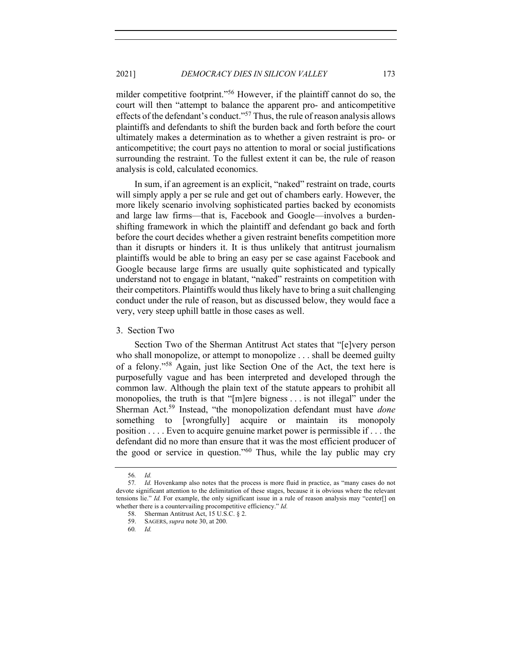milder competitive footprint."<sup>56</sup> However, if the plaintiff cannot do so, the court will then "attempt to balance the apparent pro- and anticompetitive effects of the defendant's conduct."<sup>57</sup> Thus, the rule of reason analysis allows plaintiffs and defendants to shift the burden back and forth before the court ultimately makes a determination as to whether a given restraint is pro- or anticompetitive; the court pays no attention to moral or social justifications surrounding the restraint. To the fullest extent it can be, the rule of reason analysis is cold, calculated economics.

In sum, if an agreement is an explicit, "naked" restraint on trade, courts will simply apply a per se rule and get out of chambers early. However, the more likely scenario involving sophisticated parties backed by economists and large law firms—that is, Facebook and Google—involves a burdenshifting framework in which the plaintiff and defendant go back and forth before the court decides whether a given restraint benefits competition more than it disrupts or hinders it. It is thus unlikely that antitrust journalism plaintiffs would be able to bring an easy per se case against Facebook and Google because large firms are usually quite sophisticated and typically understand not to engage in blatant, "naked" restraints on competition with their competitors. Plaintiffs would thus likely have to bring a suit challenging conduct under the rule of reason, but as discussed below, they would face a very, very steep uphill battle in those cases as well.

#### 3. Section Two

Section Two of the Sherman Antitrust Act states that "[e]very person who shall monopolize, or attempt to monopolize . . . shall be deemed guilty of a felony."<sup>58</sup> Again, just like Section One of the Act, the text here is purposefully vague and has been interpreted and developed through the common law. Although the plain text of the statute appears to prohibit all monopolies, the truth is that "[m]ere bigness . . . is not illegal" under the Sherman Act.59 Instead, "the monopolization defendant must have *done* something to [wrongfully] acquire or maintain its monopoly position . . . . Even to acquire genuine market power is permissible if . . . the defendant did no more than ensure that it was the most efficient producer of the good or service in question."<sup>60</sup> Thus, while the lay public may cry

<sup>56</sup>*. Id.*

<sup>57</sup>*. Id.* Hovenkamp also notes that the process is more fluid in practice, as "many cases do not devote significant attention to the delimitation of these stages, because it is obvious where the relevant tensions lie." *Id.* For example, the only significant issue in a rule of reason analysis may "center[] on whether there is a countervailing procompetitive efficiency." *Id.*

<sup>58.</sup> Sherman Antitrust Act, 15 U.S.C. § 2.

<sup>59.</sup> SAGERS, *supra* note 30, at 200.

<sup>60</sup>*. Id.*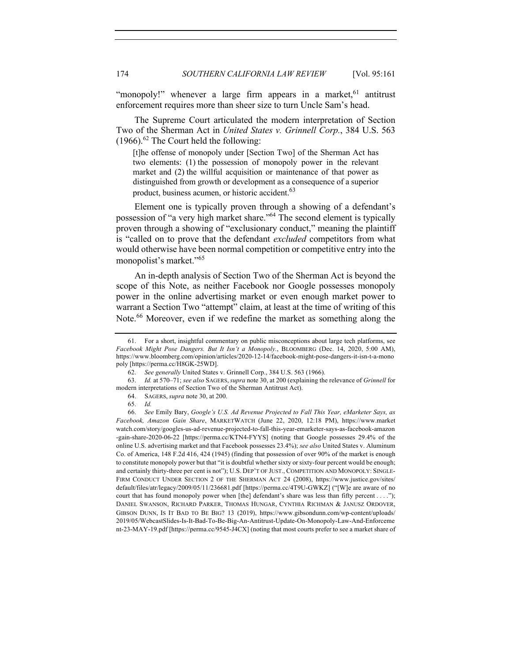"monopoly!" whenever a large firm appears in a market,  $61$  antitrust enforcement requires more than sheer size to turn Uncle Sam's head.

The Supreme Court articulated the modern interpretation of Section Two of the Sherman Act in *United States v. Grinnell Corp.*, 384 U.S. 563  $(1966)$ .<sup>62</sup> The Court held the following:

[t]he offense of monopoly under [Section Two] of the Sherman Act has two elements: (1) the possession of monopoly power in the relevant market and (2) the willful acquisition or maintenance of that power as distinguished from growth or development as a consequence of a superior product, business acumen, or historic accident.<sup>63</sup>

Element one is typically proven through a showing of a defendant's possession of "a very high market share."64 The second element is typically proven through a showing of "exclusionary conduct," meaning the plaintiff is "called on to prove that the defendant *excluded* competitors from what would otherwise have been normal competition or competitive entry into the monopolist's market."<sup>65</sup>

An in-depth analysis of Section Two of the Sherman Act is beyond the scope of this Note, as neither Facebook nor Google possesses monopoly power in the online advertising market or even enough market power to warrant a Section Two "attempt" claim, at least at the time of writing of this Note.<sup>66</sup> Moreover, even if we redefine the market as something along the

<sup>61.</sup> For a short, insightful commentary on public misconceptions about large tech platforms, see *Facebook Might Pose Dangers. But It Isn't a Monopoly.*, BLOOMBERG (Dec. 14, 2020, 5:00 AM), https://www.bloomberg.com/opinion/articles/2020-12-14/facebook-might-pose-dangers-it-isn-t-a-mono poly [https://perma.cc/H8GK-25WD].

<sup>62.</sup> *See generally* United States v. Grinnell Corp., 384 U.S. 563 (1966).

<sup>63.</sup> *Id.* at 570–71; *see also* SAGERS,*supra* note 30, at 200 (explaining the relevance of *Grinnell* for modern interpretations of Section Two of the Sherman Antitrust Act).

<sup>64.</sup> SAGERS, *supra* note 30, at 200.

<sup>65.</sup> *Id.*

<sup>66.</sup> *See* Emily Bary, *Google's U.S. Ad Revenue Projected to Fall This Year, eMarketer Says, as Facebook, Amazon Gain Share*, MARKETWATCH (June 22, 2020, 12:18 PM), https://www.market watch.com/story/googles-us-ad-revenue-projected-to-fall-this-year-emarketer-says-as-facebook-amazon -gain-share-2020-06-22 [https://perma.cc/KTN4-FYYS] (noting that Google possesses 29.4% of the online U.S. advertising market and that Facebook possesses 23.4%); *see also* United States v. Aluminum Co. of America, 148 F.2d 416, 424 (1945) (finding that possession of over 90% of the market is enough to constitute monopoly power but that "it is doubtful whether sixty or sixty-four percent would be enough; and certainly thirty-three per cent is not"); U.S. DEP'T OF JUST., COMPETITION AND MONOPOLY: SINGLE-FIRM CONDUCT UNDER SECTION 2 OF THE SHERMAN ACT 24 (2008), https://www.justice.gov/sites/ default/files/atr/legacy/2009/05/11/236681.pdf [https://perma.cc/4T9U-GWKZ] ("[W]e are aware of no court that has found monopoly power when [the] defendant's share was less than fifty percent . . . ."); DANIEL SWANSON, RICHARD PARKER, THOMAS HUNGAR, CYNTHIA RICHMAN & JANUSZ ORDOVER, GIBSON DUNN, IS IT BAD TO BE BIG? 13 (2019), https://www.gibsondunn.com/wp-content/uploads/ 2019/05/WebcastSlides-Is-It-Bad-To-Be-Big-An-Antitrust-Update-On-Monopoly-Law-And-Enforceme nt-23-MAY-19.pdf [https://perma.cc/9545-J4CX] (noting that most courts prefer to see a market share of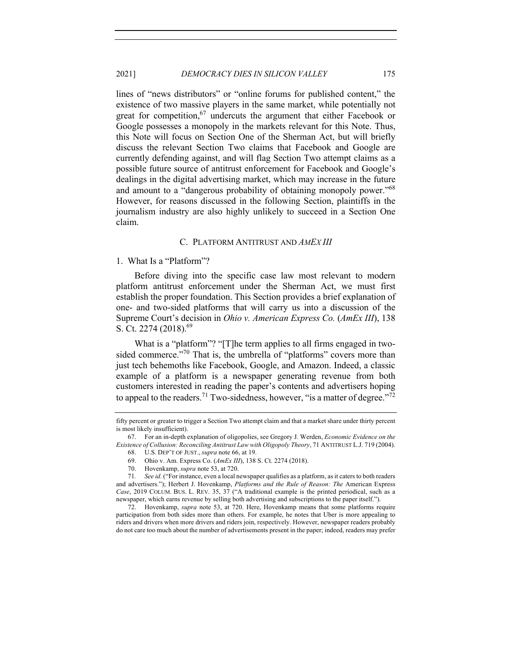lines of "news distributors" or "online forums for published content," the existence of two massive players in the same market, while potentially not great for competition,<sup>67</sup> undercuts the argument that either Facebook or Google possesses a monopoly in the markets relevant for this Note. Thus, this Note will focus on Section One of the Sherman Act, but will briefly discuss the relevant Section Two claims that Facebook and Google are currently defending against, and will flag Section Two attempt claims as a possible future source of antitrust enforcement for Facebook and Google's dealings in the digital advertising market, which may increase in the future and amount to a "dangerous probability of obtaining monopoly power."<sup>68</sup> However, for reasons discussed in the following Section, plaintiffs in the journalism industry are also highly unlikely to succeed in a Section One claim.

## C. PLATFORM ANTITRUST AND *AMEX III*

## 1. What Is a "Platform"?

Before diving into the specific case law most relevant to modern platform antitrust enforcement under the Sherman Act, we must first establish the proper foundation. This Section provides a brief explanation of one- and two-sided platforms that will carry us into a discussion of the Supreme Court's decision in *Ohio v. American Express Co.* (*AmEx III*), 138 S. Ct. 2274 (2018).<sup>69</sup>

What is a "platform"? "[T]he term applies to all firms engaged in twosided commerce."<sup>70</sup> That is, the umbrella of "platforms" covers more than just tech behemoths like Facebook, Google, and Amazon. Indeed, a classic example of a platform is a newspaper generating revenue from both customers interested in reading the paper's contents and advertisers hoping to appeal to the readers.<sup>71</sup> Two-sidedness, however, "is a matter of degree."<sup>72</sup>

fifty percent or greater to trigger a Section Two attempt claim and that a market share under thirty percent is most likely insufficient).

<sup>67.</sup> For an in-depth explanation of oligopolies, see Gregory J. Werden, *Economic Evidence on the Existence of Collusion: Reconciling Antitrust Law with Oligopoly Theory*, 71 ANTITRUST L.J. 719 (2004).

<sup>68.</sup> U.S. DEP'T OF JUST., *supra* note 66, at 19.

<sup>69.</sup> Ohio v. Am. Express Co. (*AmEx III*), 138 S. Ct. 2274 (2018).

<sup>70.</sup> Hovenkamp, *supra* note 53, at 720.

<sup>71</sup>*. See id.* ("For instance, even a local newspaper qualifies as a platform, as it caters to both readers and advertisers."); Herbert J. Hovenkamp, *Platforms and the Rule of Reason: The* American Express *Case*, 2019 COLUM. BUS. L. REV. 35, 37 ("A traditional example is the printed periodical, such as a newspaper, which earns revenue by selling both advertising and subscriptions to the paper itself.").

<sup>72.</sup> Hovenkamp, *supra* note 53, at 720. Here, Hovenkamp means that some platforms require participation from both sides more than others. For example, he notes that Uber is more appealing to riders and drivers when more drivers and riders join, respectively. However, newspaper readers probably do not care too much about the number of advertisements present in the paper; indeed, readers may prefer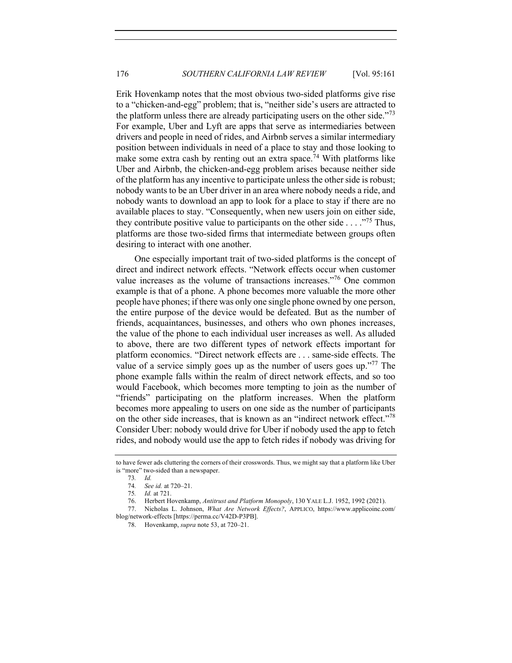Erik Hovenkamp notes that the most obvious two-sided platforms give rise to a "chicken-and-egg" problem; that is, "neither side's users are attracted to the platform unless there are already participating users on the other side.<sup> $73$ </sup> For example, Uber and Lyft are apps that serve as intermediaries between drivers and people in need of rides, and Airbnb serves a similar intermediary position between individuals in need of a place to stay and those looking to make some extra cash by renting out an extra space.<sup>74</sup> With platforms like Uber and Airbnb, the chicken-and-egg problem arises because neither side of the platform has any incentive to participate unless the other side is robust; nobody wants to be an Uber driver in an area where nobody needs a ride, and nobody wants to download an app to look for a place to stay if there are no available places to stay. "Consequently, when new users join on either side, they contribute positive value to participants on the other side  $\dots$ ."<sup>75</sup> Thus, platforms are those two-sided firms that intermediate between groups often desiring to interact with one another.

One especially important trait of two-sided platforms is the concept of direct and indirect network effects. "Network effects occur when customer value increases as the volume of transactions increases."<sup>76</sup> One common example is that of a phone. A phone becomes more valuable the more other people have phones; if there was only one single phone owned by one person, the entire purpose of the device would be defeated. But as the number of friends, acquaintances, businesses, and others who own phones increases, the value of the phone to each individual user increases as well. As alluded to above, there are two different types of network effects important for platform economics. "Direct network effects are . . . same-side effects. The value of a service simply goes up as the number of users goes up."<sup>77</sup> The phone example falls within the realm of direct network effects, and so too would Facebook, which becomes more tempting to join as the number of "friends" participating on the platform increases. When the platform becomes more appealing to users on one side as the number of participants on the other side increases, that is known as an "indirect network effect."<sup>78</sup> Consider Uber: nobody would drive for Uber if nobody used the app to fetch rides, and nobody would use the app to fetch rides if nobody was driving for

to have fewer ads cluttering the corners of their crosswords. Thus, we might say that a platform like Uber is "more" two-sided than a newspaper.

<sup>73</sup>*. Id.*

<sup>74</sup>*. See id.* at 720–21.

<sup>75</sup>*. Id.* at 721.

<sup>76.</sup> Herbert Hovenkamp, *Antitrust and Platform Monopoly*, 130 YALE L.J. 1952, 1992 (2021).

<sup>77.</sup> Nicholas L. Johnson, *What Are Network Effects?*, APPLICO, https://www.applicoinc.com/ blog/network-effects [https://perma.cc/V42D-P3PB].

<sup>78.</sup> Hovenkamp, *supra* note 53, at 720–21.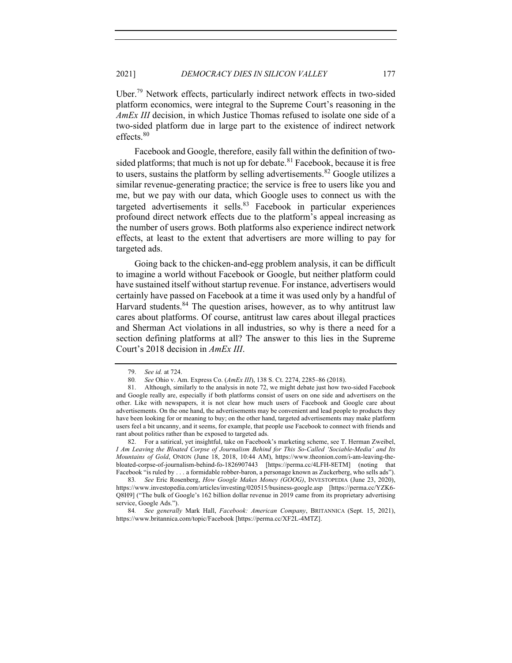Uber.79 Network effects, particularly indirect network effects in two-sided platform economics, were integral to the Supreme Court's reasoning in the *AmEx III* decision, in which Justice Thomas refused to isolate one side of a two-sided platform due in large part to the existence of indirect network effects.<sup>80</sup>

Facebook and Google, therefore, easily fall within the definition of twosided platforms; that much is not up for debate. $81$  Facebook, because it is free to users, sustains the platform by selling advertisements.<sup>82</sup> Google utilizes a similar revenue-generating practice; the service is free to users like you and me, but we pay with our data, which Google uses to connect us with the targeted advertisements it sells. $83$  Facebook in particular experiences profound direct network effects due to the platform's appeal increasing as the number of users grows. Both platforms also experience indirect network effects, at least to the extent that advertisers are more willing to pay for targeted ads.

Going back to the chicken-and-egg problem analysis, it can be difficult to imagine a world without Facebook or Google, but neither platform could have sustained itself without startup revenue. For instance, advertisers would certainly have passed on Facebook at a time it was used only by a handful of Harvard students.<sup>84</sup> The question arises, however, as to why antitrust law cares about platforms. Of course, antitrust law cares about illegal practices and Sherman Act violations in all industries, so why is there a need for a section defining platforms at all? The answer to this lies in the Supreme Court's 2018 decision in *AmEx III*.

82. For a satirical, yet insightful, take on Facebook's marketing scheme, see T. Herman Zweibel, *I Am Leaving the Bloated Corpse of Journalism Behind for This So-Called 'Sociable-Media' and Its Mountains of Gold*, ONION (June 18, 2018, 10:44 AM), https://www.theonion.com/i-am-leaving-thebloated-corpse-of-journalism-behind-fo-1826907443 [https://perma.cc/4LFH-8ETM] (noting that Facebook "is ruled by . . . a formidable robber-baron, a personage known as Zuckerberg, who sells ads").

83*. See* Eric Rosenberg, *How Google Makes Money (GOOG)*, INVESTOPEDIA (June 23, 2020), https://www.investopedia.com/articles/investing/020515/business-google.asp [https://perma.cc/YZK6- Q8H9] ("The bulk of Google's 162 billion dollar revenue in 2019 came from its proprietary advertising service, Google Ads.").

<sup>79.</sup> *See id.* at 724.

<sup>80</sup>*. See* Ohio v. Am. Express Co. (*AmEx III*), 138 S. Ct. 2274, 2285–86 (2018).

<sup>81.</sup> Although, similarly to the analysis in note 72, we might debate just how two-sided Facebook and Google really are, especially if both platforms consist of users on one side and advertisers on the other. Like with newspapers, it is not clear how much users of Facebook and Google care about advertisements. On the one hand, the advertisements may be convenient and lead people to products they have been looking for or meaning to buy; on the other hand, targeted advertisements may make platform users feel a bit uncanny, and it seems, for example, that people use Facebook to connect with friends and rant about politics rather than be exposed to targeted ads.

<sup>84</sup>*. See generally* Mark Hall, *Facebook: American Company*, BRITANNICA (Sept. 15, 2021), https://www.britannica.com/topic/Facebook [https://perma.cc/XF2L-4MTZ].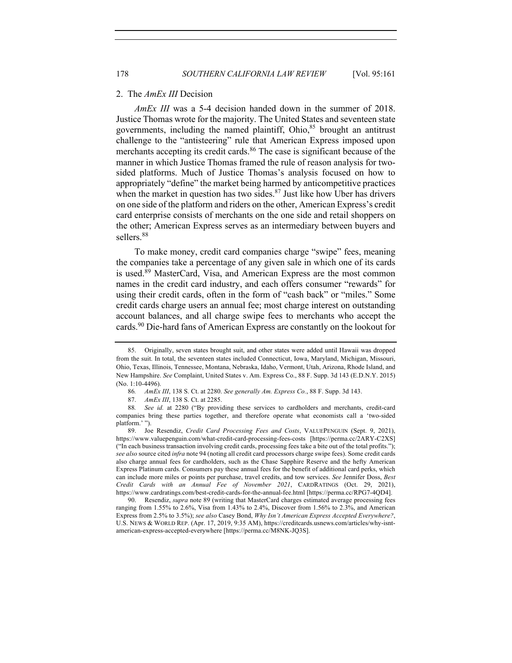#### 2. The *AmEx III* Decision

*AmEx III* was a 5-4 decision handed down in the summer of 2018. Justice Thomas wrote for the majority. The United States and seventeen state governments, including the named plaintiff, Ohio,<sup>85</sup> brought an antitrust challenge to the "antisteering" rule that American Express imposed upon merchants accepting its credit cards.<sup>86</sup> The case is significant because of the manner in which Justice Thomas framed the rule of reason analysis for twosided platforms. Much of Justice Thomas's analysis focused on how to appropriately "define" the market being harmed by anticompetitive practices when the market in question has two sides. $87$  Just like how Uber has drivers on one side of the platform and riders on the other, American Express's credit card enterprise consists of merchants on the one side and retail shoppers on the other; American Express serves as an intermediary between buyers and sellers.<sup>88</sup>

To make money, credit card companies charge "swipe" fees, meaning the companies take a percentage of any given sale in which one of its cards is used.<sup>89</sup> MasterCard, Visa, and American Express are the most common names in the credit card industry, and each offers consumer "rewards" for using their credit cards, often in the form of "cash back" or "miles." Some credit cards charge users an annual fee; most charge interest on outstanding account balances, and all charge swipe fees to merchants who accept the cards.90 Die-hard fans of American Express are constantly on the lookout for

<sup>85.</sup> Originally, seven states brought suit, and other states were added until Hawaii was dropped from the suit. In total, the seventeen states included Connecticut, Iowa, Maryland, Michigan, Missouri, Ohio, Texas, Illinois, Tennessee, Montana, Nebraska, Idaho, Vermont, Utah, Arizona, Rhode Island, and New Hampshire. *See* Complaint, United States v. Am. Express Co., 88 F. Supp. 3d 143 (E.D.N.Y. 2015) (No. 1:10-4496).

<sup>86</sup>*. AmEx III*, 138 S. Ct. at 2280. *See generally Am. Express Co.*, 88 F. Supp. 3d 143.

<sup>87.</sup> *AmEx III*, 138 S. Ct. at 2285.

<sup>88</sup>*. See id.* at 2280 ("By providing these services to cardholders and merchants, credit-card companies bring these parties together, and therefore operate what economists call a 'two-sided platform.' ").

<sup>89.</sup> Joe Resendiz, *Credit Card Processing Fees and Costs*, VALUEPENGUIN (Sept. 9, 2021), https://www.valuepenguin.com/what-credit-card-processing-fees-costs [https://perma.cc/2ARY-C2XS] ("In each business transaction involving credit cards, processing fees take a bite out of the total profits."); *see also* source cited *infra* note 94 (noting all credit card processors charge swipe fees). Some credit cards also charge annual fees for cardholders, such as the Chase Sapphire Reserve and the hefty American Express Platinum cards. Consumers pay these annual fees for the benefit of additional card perks, which can include more miles or points per purchase, travel credits, and tow services. *See* Jennifer Doss, *Best Credit Cards with an Annual Fee of November 2021*, CARDRATINGS (Oct. 29, 2021), https://www.cardratings.com/best-credit-cards-for-the-annual-fee.html [https://perma.cc/RPG7-4QD4].

<sup>90.</sup> Resendiz, *supra* note 89 (writing that MasterCard charges estimated average processing fees ranging from 1.55% to 2.6%, Visa from 1.43% to 2.4%, Discover from 1.56% to 2.3%, and American Express from 2.5% to 3.5%); *see also* Casey Bond, *Why Isn't American Express Accepted Everywhere?*, U.S. NEWS & WORLD REP. (Apr. 17, 2019, 9:35 AM), https://creditcards.usnews.com/articles/why-isntamerican-express-accepted-everywhere [https://perma.cc/M8NK-JQ3S].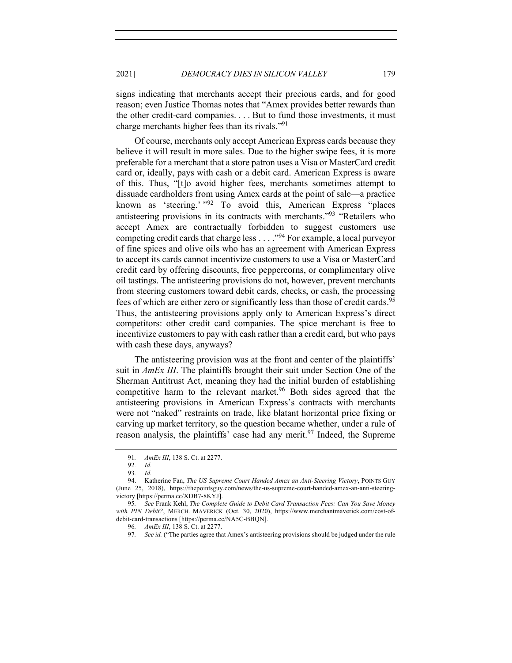signs indicating that merchants accept their precious cards, and for good reason; even Justice Thomas notes that "Amex provides better rewards than the other credit-card companies. . . . But to fund those investments, it must charge merchants higher fees than its rivals."<sup>91</sup>

Of course, merchants only accept American Express cards because they believe it will result in more sales. Due to the higher swipe fees, it is more preferable for a merchant that a store patron uses a Visa or MasterCard credit card or, ideally, pays with cash or a debit card. American Express is aware of this. Thus, "[t]o avoid higher fees, merchants sometimes attempt to dissuade cardholders from using Amex cards at the point of sale—a practice known as 'steering.' "92 To avoid this, American Express "places antisteering provisions in its contracts with merchants."<sup>93</sup> "Retailers who accept Amex are contractually forbidden to suggest customers use competing credit cards that charge less  $\dots$  ."<sup>94</sup> For example, a local purveyor of fine spices and olive oils who has an agreement with American Express to accept its cards cannot incentivize customers to use a Visa or MasterCard credit card by offering discounts, free peppercorns, or complimentary olive oil tastings. The antisteering provisions do not, however, prevent merchants from steering customers toward debit cards, checks, or cash, the processing fees of which are either zero or significantly less than those of credit cards.<sup>95</sup> Thus, the antisteering provisions apply only to American Express's direct competitors: other credit card companies. The spice merchant is free to incentivize customers to pay with cash rather than a credit card, but who pays with cash these days, anyways?

The antisteering provision was at the front and center of the plaintiffs' suit in *AmEx III*. The plaintiffs brought their suit under Section One of the Sherman Antitrust Act, meaning they had the initial burden of establishing competitive harm to the relevant market.<sup>96</sup> Both sides agreed that the antisteering provisions in American Express's contracts with merchants were not "naked" restraints on trade, like blatant horizontal price fixing or carving up market territory, so the question became whether, under a rule of reason analysis, the plaintiffs' case had any merit.<sup>97</sup> Indeed, the Supreme

<sup>91</sup>*. AmEx III*, 138 S. Ct. at 2277.

<sup>92</sup>*. Id.* 

<sup>93</sup>*. Id.*

<sup>94.</sup> Katherine Fan, *The US Supreme Court Handed Amex an Anti-Steering Victory*, POINTS GUY (June 25, 2018), https://thepointsguy.com/news/the-us-supreme-court-handed-amex-an-anti-steeringvictory [https://perma.cc/XDB7-8KYJ].

<sup>95</sup>*. See* Frank Kehl, *The Complete Guide to Debit Card Transaction Fees: Can You Save Money with PIN Debit?*, MERCH. MAVERICK (Oct. 30, 2020), https://www.merchantmaverick.com/cost-ofdebit-card-transactions [https://perma.cc/NA5C-BBQN].

<sup>96</sup>*. AmEx III*, 138 S. Ct. at 2277.

<sup>97</sup>*. See id.* ("The parties agree that Amex's antisteering provisions should be judged under the rule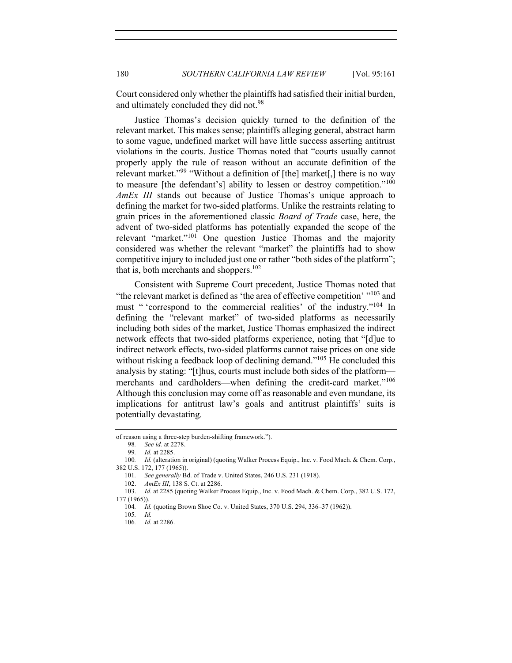Court considered only whether the plaintiffs had satisfied their initial burden, and ultimately concluded they did not.<sup>98</sup>

Justice Thomas's decision quickly turned to the definition of the relevant market. This makes sense; plaintiffs alleging general, abstract harm to some vague, undefined market will have little success asserting antitrust violations in the courts. Justice Thomas noted that "courts usually cannot properly apply the rule of reason without an accurate definition of the relevant market."<sup>99</sup> "Without a definition of [the] market[,] there is no way to measure [the defendant's] ability to lessen or destroy competition."<sup>100</sup> *AmEx III* stands out because of Justice Thomas's unique approach to defining the market for two-sided platforms. Unlike the restraints relating to grain prices in the aforementioned classic *Board of Trade* case, here, the advent of two-sided platforms has potentially expanded the scope of the relevant "market."<sup>101</sup> One question Justice Thomas and the majority considered was whether the relevant "market" the plaintiffs had to show competitive injury to included just one or rather "both sides of the platform"; that is, both merchants and shoppers. $102$ 

Consistent with Supreme Court precedent, Justice Thomas noted that "the relevant market is defined as 'the area of effective competition'  $103$  and must " 'correspond to the commercial realities' of the industry."<sup>104</sup> In defining the "relevant market" of two-sided platforms as necessarily including both sides of the market, Justice Thomas emphasized the indirect network effects that two-sided platforms experience, noting that "[d]ue to indirect network effects, two-sided platforms cannot raise prices on one side without risking a feedback loop of declining demand."<sup>105</sup> He concluded this analysis by stating: "[t]hus, courts must include both sides of the platform merchants and cardholders—when defining the credit-card market."<sup>106</sup> Although this conclusion may come off as reasonable and even mundane, its implications for antitrust law's goals and antitrust plaintiffs' suits is potentially devastating.

98*. See id.* at 2278.

102. *AmEx III*, 138 S. Ct. at 2286.

of reason using a three-step burden-shifting framework.").

<sup>99</sup>*. Id.* at 2285.

<sup>100</sup>*. Id.* (alteration in original) (quoting Walker Process Equip., Inc. v. Food Mach. & Chem. Corp., 382 U.S. 172, 177 (1965)).

<sup>101</sup>*. See generally* Bd. of Trade v. United States, 246 U.S. 231 (1918).

<sup>103.</sup> *Id.* at 2285 (quoting Walker Process Equip., Inc. v. Food Mach. & Chem. Corp., 382 U.S. 172, 177 (1965)).

<sup>104</sup>*. Id.* (quoting Brown Shoe Co. v. United States, 370 U.S. 294, 336–37 (1962)).

<sup>105</sup>*. Id.*

<sup>106</sup>*. Id.* at 2286.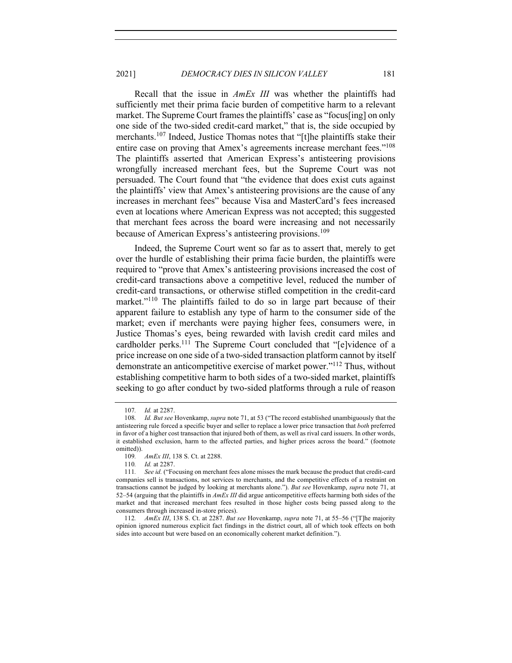Recall that the issue in *AmEx III* was whether the plaintiffs had sufficiently met their prima facie burden of competitive harm to a relevant market. The Supreme Court frames the plaintiffs' case as "focus[ing] on only one side of the two-sided credit-card market," that is, the side occupied by merchants.<sup>107</sup> Indeed, Justice Thomas notes that "[t]he plaintiffs stake their entire case on proving that Amex's agreements increase merchant fees."<sup>108</sup> The plaintiffs asserted that American Express's antisteering provisions wrongfully increased merchant fees, but the Supreme Court was not persuaded. The Court found that "the evidence that does exist cuts against the plaintiffs' view that Amex's antisteering provisions are the cause of any increases in merchant fees" because Visa and MasterCard's fees increased even at locations where American Express was not accepted; this suggested that merchant fees across the board were increasing and not necessarily because of American Express's antisteering provisions.<sup>109</sup>

Indeed, the Supreme Court went so far as to assert that, merely to get over the hurdle of establishing their prima facie burden, the plaintiffs were required to "prove that Amex's antisteering provisions increased the cost of credit-card transactions above a competitive level, reduced the number of credit-card transactions, or otherwise stifled competition in the credit-card market."<sup>110</sup> The plaintiffs failed to do so in large part because of their apparent failure to establish any type of harm to the consumer side of the market; even if merchants were paying higher fees, consumers were, in Justice Thomas's eyes, being rewarded with lavish credit card miles and cardholder perks.<sup>111</sup> The Supreme Court concluded that "[e]vidence of a price increase on one side of a two-sided transaction platform cannot by itself demonstrate an anticompetitive exercise of market power."<sup>112</sup> Thus, without establishing competitive harm to both sides of a two-sided market, plaintiffs seeking to go after conduct by two-sided platforms through a rule of reason

<sup>107</sup>*. Id.* at 2287.

<sup>108</sup>*. Id. But see* Hovenkamp, *supra* note 71, at 53 ("The record established unambiguously that the antisteering rule forced a specific buyer and seller to replace a lower price transaction that *both* preferred in favor of a higher cost transaction that injured both of them, as well as rival card issuers. In other words, it established exclusion, harm to the affected parties, and higher prices across the board." (footnote omitted)).

<sup>109</sup>*. AmEx III*, 138 S. Ct. at 2288.

<sup>110</sup>*. Id.* at 2287.

<sup>111</sup>*. See id.* ("Focusing on merchant fees alone misses the mark because the product that credit-card companies sell is transactions, not services to merchants, and the competitive effects of a restraint on transactions cannot be judged by looking at merchants alone."). *But see* Hovenkamp, *supra* note 71, at 52–54 (arguing that the plaintiffs in *AmEx III* did argue anticompetitive effects harming both sides of the market and that increased merchant fees resulted in those higher costs being passed along to the consumers through increased in-store prices).

<sup>112</sup>*. AmEx III*, 138 S. Ct. at 2287. *But see* Hovenkamp, *supra* note 71, at 55–56 ("[T]he majority opinion ignored numerous explicit fact findings in the district court, all of which took effects on both sides into account but were based on an economically coherent market definition.").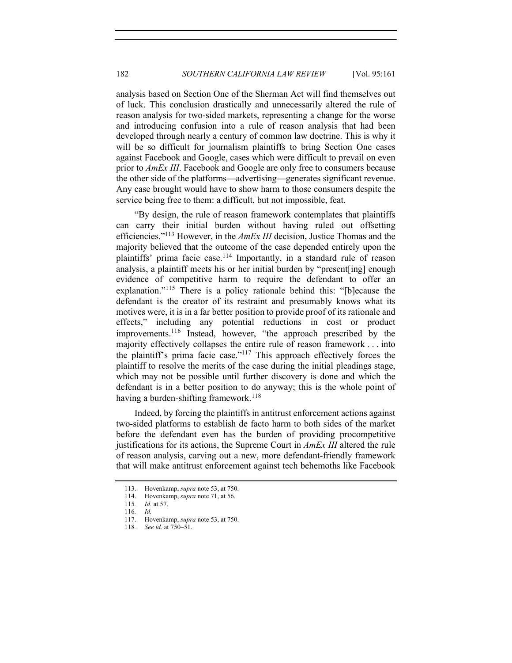analysis based on Section One of the Sherman Act will find themselves out of luck. This conclusion drastically and unnecessarily altered the rule of reason analysis for two-sided markets, representing a change for the worse and introducing confusion into a rule of reason analysis that had been developed through nearly a century of common law doctrine. This is why it will be so difficult for journalism plaintiffs to bring Section One cases against Facebook and Google, cases which were difficult to prevail on even prior to *AmEx III*. Facebook and Google are only free to consumers because the other side of the platforms—advertising—generates significant revenue. Any case brought would have to show harm to those consumers despite the service being free to them: a difficult, but not impossible, feat.

"By design, the rule of reason framework contemplates that plaintiffs can carry their initial burden without having ruled out offsetting efficiencies."113 However, in the *AmEx III* decision, Justice Thomas and the majority believed that the outcome of the case depended entirely upon the plaintiffs' prima facie case.<sup>114</sup> Importantly, in a standard rule of reason analysis, a plaintiff meets his or her initial burden by "present[ing] enough evidence of competitive harm to require the defendant to offer an explanation."<sup>115</sup> There is a policy rationale behind this: "[b]ecause the defendant is the creator of its restraint and presumably knows what its motives were, it is in a far better position to provide proof of its rationale and effects," including any potential reductions in cost or product improvements.<sup>116</sup> Instead, however, "the approach prescribed by the majority effectively collapses the entire rule of reason framework . . . into the plaintiff's prima facie case."117 This approach effectively forces the plaintiff to resolve the merits of the case during the initial pleadings stage, which may not be possible until further discovery is done and which the defendant is in a better position to do anyway; this is the whole point of having a burden-shifting framework.<sup>118</sup>

Indeed, by forcing the plaintiffs in antitrust enforcement actions against two-sided platforms to establish de facto harm to both sides of the market before the defendant even has the burden of providing procompetitive justifications for its actions, the Supreme Court in *AmEx III* altered the rule of reason analysis, carving out a new, more defendant-friendly framework that will make antitrust enforcement against tech behemoths like Facebook

<sup>113.</sup> Hovenkamp, *supra* note 53, at 750.

<sup>114.</sup> Hovenkamp, *supra* note 71, at 56.

<sup>115</sup>*. Id.* at 57.

<sup>116</sup>*. Id.*

<sup>117.</sup> Hovenkamp, *supra* note 53, at 750.

<sup>118</sup>*. See id.* at 750–51.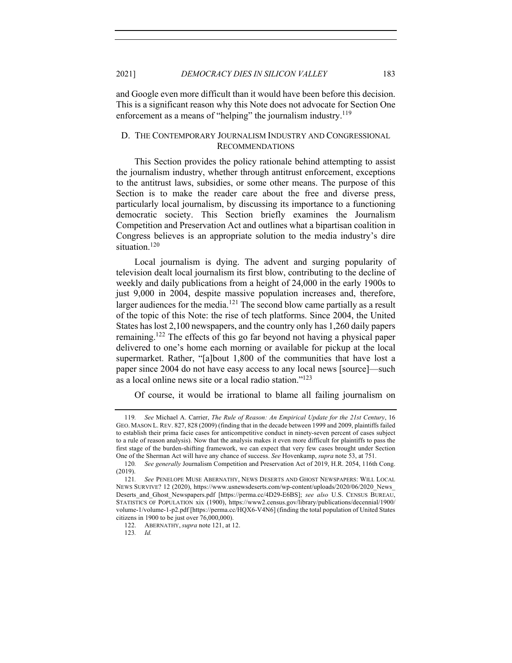and Google even more difficult than it would have been before this decision. This is a significant reason why this Note does not advocate for Section One enforcement as a means of "helping" the journalism industry.<sup>119</sup>

# D. THE CONTEMPORARY JOURNALISM INDUSTRY AND CONGRESSIONAL RECOMMENDATIONS

This Section provides the policy rationale behind attempting to assist the journalism industry, whether through antitrust enforcement, exceptions to the antitrust laws, subsidies, or some other means. The purpose of this Section is to make the reader care about the free and diverse press, particularly local journalism, by discussing its importance to a functioning democratic society. This Section briefly examines the Journalism Competition and Preservation Act and outlines what a bipartisan coalition in Congress believes is an appropriate solution to the media industry's dire situation.<sup>120</sup>

Local journalism is dying. The advent and surging popularity of television dealt local journalism its first blow, contributing to the decline of weekly and daily publications from a height of 24,000 in the early 1900s to just 9,000 in 2004, despite massive population increases and, therefore, larger audiences for the media.<sup>121</sup> The second blow came partially as a result of the topic of this Note: the rise of tech platforms. Since 2004, the United States has lost 2,100 newspapers, and the country only has 1,260 daily papers remaining.122 The effects of this go far beyond not having a physical paper delivered to one's home each morning or available for pickup at the local supermarket. Rather, "[a]bout 1,800 of the communities that have lost a paper since 2004 do not have easy access to any local news [source]—such as a local online news site or a local radio station."123

Of course, it would be irrational to blame all failing journalism on

<sup>119</sup>*. See* Michael A. Carrier, *The Rule of Reason: An Empirical Update for the 21st Century*, 16 GEO. MASON L. REV. 827, 828 (2009) (finding that in the decade between 1999 and 2009, plaintiffs failed to establish their prima facie cases for anticompetitive conduct in ninety-seven percent of cases subject to a rule of reason analysis). Now that the analysis makes it even more difficult for plaintiffs to pass the first stage of the burden-shifting framework, we can expect that very few cases brought under Section One of the Sherman Act will have any chance of success. *See* Hovenkamp, *supra* note 53, at 751.

<sup>120</sup>*. See generally* Journalism Competition and Preservation Act of 2019, H.R. 2054, 116th Cong. (2019).

<sup>121</sup>*. See* PENELOPE MUSE ABERNATHY, NEWS DESERTS AND GHOST NEWSPAPERS: WILL LOCAL NEWS SURVIVE? 12 (2020), https://www.usnewsdeserts.com/wp-content/uploads/2020/06/2020\_News\_ Deserts\_and\_Ghost\_Newspapers.pdf [https://perma.cc/4D29-E6BS]; *see also* U.S. CENSUS BUREAU, STATISTICS OF POPULATION xix (1900), https://www2.census.gov/library/publications/decennial/1900/ volume-1/volume-1-p2.pdf [https://perma.cc/HQX6-V4N6] (finding the total population of United States citizens in 1900 to be just over 76,000,000).

<sup>122.</sup> ABERNATHY, *supra* note 121, at 12.

<sup>123</sup>*. Id.*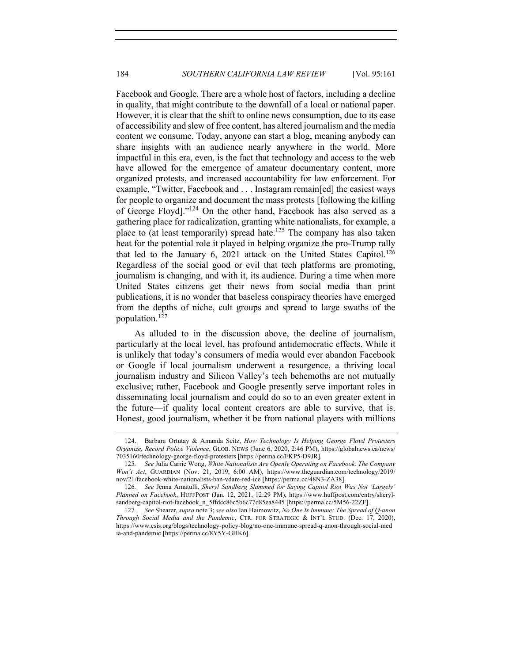Facebook and Google. There are a whole host of factors, including a decline in quality, that might contribute to the downfall of a local or national paper. However, it is clear that the shift to online news consumption, due to its ease of accessibility and slew of free content, has altered journalism and the media content we consume. Today, anyone can start a blog, meaning anybody can share insights with an audience nearly anywhere in the world. More impactful in this era, even, is the fact that technology and access to the web have allowed for the emergence of amateur documentary content, more organized protests, and increased accountability for law enforcement. For example, "Twitter, Facebook and . . . Instagram remain[ed] the easiest ways for people to organize and document the mass protests [following the killing of George Floyd]."<sup>124</sup> On the other hand, Facebook has also served as a gathering place for radicalization, granting white nationalists, for example, a place to (at least temporarily) spread hate.<sup>125</sup> The company has also taken heat for the potential role it played in helping organize the pro-Trump rally that led to the January 6, 2021 attack on the United States Capitol.<sup>126</sup> Regardless of the social good or evil that tech platforms are promoting, journalism is changing, and with it, its audience. During a time when more United States citizens get their news from social media than print publications, it is no wonder that baseless conspiracy theories have emerged from the depths of niche, cult groups and spread to large swaths of the population.<sup>127</sup>

As alluded to in the discussion above, the decline of journalism, particularly at the local level, has profound antidemocratic effects. While it is unlikely that today's consumers of media would ever abandon Facebook or Google if local journalism underwent a resurgence, a thriving local journalism industry and Silicon Valley's tech behemoths are not mutually exclusive; rather, Facebook and Google presently serve important roles in disseminating local journalism and could do so to an even greater extent in the future—if quality local content creators are able to survive, that is. Honest, good journalism, whether it be from national players with millions

<sup>124.</sup> Barbara Ortutay & Amanda Seitz, *How Technology Is Helping George Floyd Protesters Organize, Record Police Violence*, GLOB. NEWS (June 6, 2020, 2:46 PM), https://globalnews.ca/news/ 7035160/technology-george-floyd-protesters [https://perma.cc/FKP5-D9JR].

<sup>125</sup>*. See* Julia Carrie Wong, *White Nationalists Are Openly Operating on Facebook. The Company Won't Act*, GUARDIAN (Nov. 21, 2019, 6:00 AM), https://www.theguardian.com/technology/2019/ nov/21/facebook-white-nationalists-ban-vdare-red-ice [https://perma.cc/48N3-ZA38].

<sup>126</sup>*. See* Jenna Amatulli, *Sheryl Sandberg Slammed for Saying Capitol Riot Was Not 'Largely' Planned on Facebook*, HUFFPOST (Jan. 12, 2021, 12:29 PM), https://www.huffpost.com/entry/sherylsandberg-capitol-riot-facebook\_n\_5ffdcc86c5b6c77d85ea8445 [https://perma.cc/5M56-22ZF].

<sup>127</sup>*. See* Shearer, *supra* note 3; *see also* Ian Haimowitz, *No One Is Immune: The Spread of Q-anon Through Social Media and the Pandemic*, CTR. FOR STRATEGIC & INT'L STUD. (Dec. 17, 2020), https://www.csis.org/blogs/technology-policy-blog/no-one-immune-spread-q-anon-through-social-med ia-and-pandemic [https://perma.cc/8Y5Y-GHK6].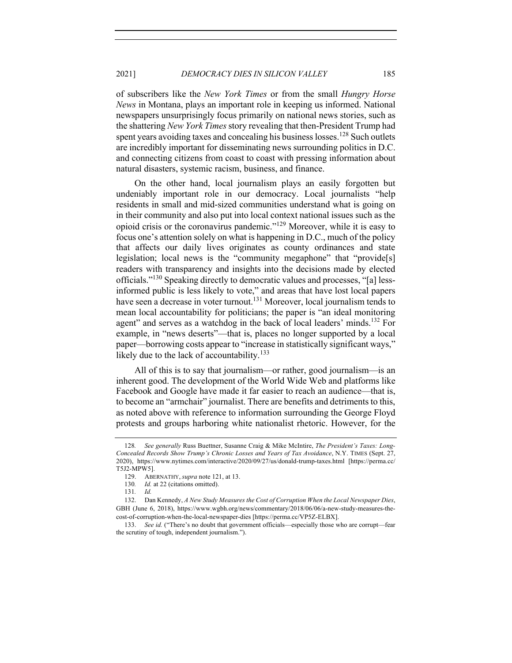of subscribers like the *New York Times* or from the small *Hungry Horse News* in Montana, plays an important role in keeping us informed. National newspapers unsurprisingly focus primarily on national news stories, such as the shattering *New York Times*story revealing that then-President Trump had spent years avoiding taxes and concealing his business losses.<sup>128</sup> Such outlets are incredibly important for disseminating news surrounding politics in D.C. and connecting citizens from coast to coast with pressing information about natural disasters, systemic racism, business, and finance.

On the other hand, local journalism plays an easily forgotten but undeniably important role in our democracy. Local journalists "help residents in small and mid-sized communities understand what is going on in their community and also put into local context national issues such as the opioid crisis or the coronavirus pandemic."<sup>129</sup> Moreover, while it is easy to focus one's attention solely on what is happening in D.C., much of the policy that affects our daily lives originates as county ordinances and state legislation; local news is the "community megaphone" that "provide[s] readers with transparency and insights into the decisions made by elected officials."130 Speaking directly to democratic values and processes, "[a] lessinformed public is less likely to vote," and areas that have lost local papers have seen a decrease in voter turnout.<sup>131</sup> Moreover, local journalism tends to mean local accountability for politicians; the paper is "an ideal monitoring agent" and serves as a watchdog in the back of local leaders' minds.<sup>132</sup> For example, in "news deserts"—that is, places no longer supported by a local paper—borrowing costs appear to "increase in statistically significant ways," likely due to the lack of accountability.<sup>133</sup>

All of this is to say that journalism—or rather, good journalism—is an inherent good. The development of the World Wide Web and platforms like Facebook and Google have made it far easier to reach an audience—that is, to become an "armchair" journalist. There are benefits and detriments to this, as noted above with reference to information surrounding the George Floyd protests and groups harboring white nationalist rhetoric. However, for the

<sup>128</sup>*. See generally* Russ Buettner, Susanne Craig & Mike McIntire, *The President's Taxes: Long-Concealed Records Show Trump's Chronic Losses and Years of Tax Avoidance*, N.Y. TIMES (Sept. 27, 2020), https://www.nytimes.com/interactive/2020/09/27/us/donald-trump-taxes.html [https://perma.cc/ T5J2-MPW5].

<sup>129.</sup> ABERNATHY, *supra* note 121, at 13.

<sup>130</sup>*. Id.* at 22 (citations omitted).

<sup>131</sup>*. Id.* 

<sup>132.</sup> Dan Kennedy, *A New Study Measures the Cost of Corruption When the Local Newspaper Dies*, GBH (June 6, 2018), https://www.wgbh.org/news/commentary/2018/06/06/a-new-study-measures-thecost-of-corruption-when-the-local-newspaper-dies [https://perma.cc/VP5Z-ELBX].

<sup>133.</sup> *See id.* ("There's no doubt that government officials—especially those who are corrupt—fear the scrutiny of tough, independent journalism.").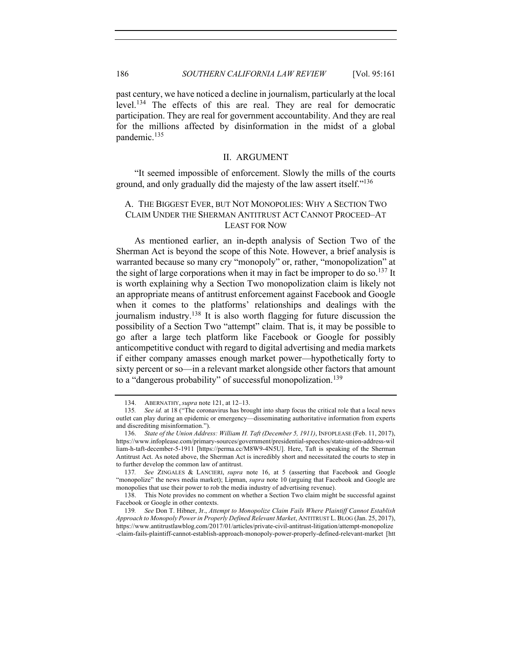past century, we have noticed a decline in journalism, particularly at the local level.<sup>134</sup> The effects of this are real. They are real for democratic participation. They are real for government accountability. And they are real for the millions affected by disinformation in the midst of a global pandemic.<sup>135</sup>

# II. ARGUMENT

"It seemed impossible of enforcement. Slowly the mills of the courts ground, and only gradually did the majesty of the law assert itself."<sup>136</sup>

# A. THE BIGGEST EVER, BUT NOT MONOPOLIES: WHY A SECTION TWO CLAIM UNDER THE SHERMAN ANTITRUST ACT CANNOT PROCEED–AT LEAST FOR NOW

As mentioned earlier, an in-depth analysis of Section Two of the Sherman Act is beyond the scope of this Note. However, a brief analysis is warranted because so many cry "monopoly" or, rather, "monopolization" at the sight of large corporations when it may in fact be improper to do so.<sup>137</sup> It is worth explaining why a Section Two monopolization claim is likely not an appropriate means of antitrust enforcement against Facebook and Google when it comes to the platforms' relationships and dealings with the journalism industry.<sup>138</sup> It is also worth flagging for future discussion the possibility of a Section Two "attempt" claim. That is, it may be possible to go after a large tech platform like Facebook or Google for possibly anticompetitive conduct with regard to digital advertising and media markets if either company amasses enough market power—hypothetically forty to sixty percent or so—in a relevant market alongside other factors that amount to a "dangerous probability" of successful monopolization.<sup>139</sup>

<sup>134.</sup> ABERNATHY, *supra* note 121, at 12–13.

<sup>135</sup>*. See id.* at 18 ("The coronavirus has brought into sharp focus the critical role that a local news outlet can play during an epidemic or emergency—disseminating authoritative information from experts and discrediting misinformation.").

<sup>136.</sup> *State of the Union Address: William H. Taft (December 5, 1911)*, INFOPLEASE (Feb. 11, 2017), https://www.infoplease.com/primary-sources/government/presidential-speeches/state-union-address-wil liam-h-taft-december-5-1911 [https://perma.cc/M8W9-4N5U]. Here, Taft is speaking of the Sherman Antitrust Act. As noted above, the Sherman Act is incredibly short and necessitated the courts to step in to further develop the common law of antitrust.

<sup>137</sup>*. See* ZINGALES & LANCIERI, *supra* note 16, at 5 (asserting that Facebook and Google "monopolize" the news media market); Lipman, *supra* note 10 (arguing that Facebook and Google are monopolies that use their power to rob the media industry of advertising revenue).

<sup>138.</sup> This Note provides no comment on whether a Section Two claim might be successful against Facebook or Google in other contexts.

<sup>139</sup>*. See* Don T. Hibner, Jr., *Attempt to Monopolize Claim Fails Where Plaintiff Cannot Establish Approach to Monopoly Power in Properly Defined Relevant Market*, ANTITRUST L.BLOG (Jan. 25, 2017), https://www.antitrustlawblog.com/2017/01/articles/private-civil-antitrust-litigation/attempt-monopolize -claim-fails-plaintiff-cannot-establish-approach-monopoly-power-properly-defined-relevant-market [htt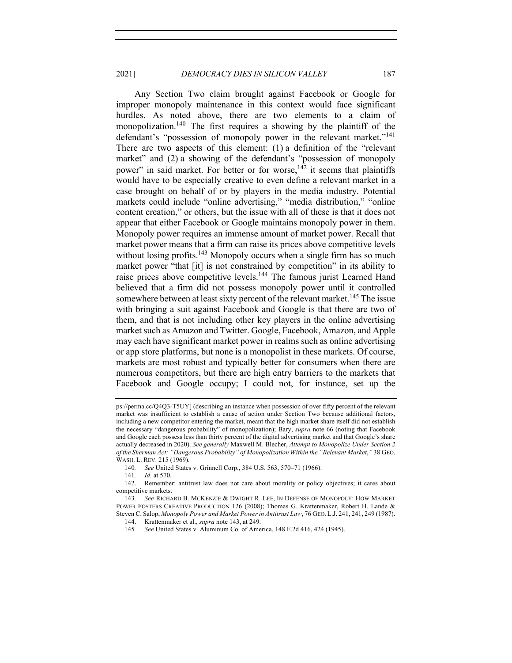Any Section Two claim brought against Facebook or Google for improper monopoly maintenance in this context would face significant hurdles. As noted above, there are two elements to a claim of monopolization.<sup>140</sup> The first requires a showing by the plaintiff of the defendant's "possession of monopoly power in the relevant market."<sup>141</sup> There are two aspects of this element: (1) a definition of the "relevant market" and (2) a showing of the defendant's "possession of monopoly power" in said market. For better or for worse,<sup>142</sup> it seems that plaintiffs would have to be especially creative to even define a relevant market in a case brought on behalf of or by players in the media industry. Potential markets could include "online advertising," "media distribution," "online content creation," or others, but the issue with all of these is that it does not appear that either Facebook or Google maintains monopoly power in them. Monopoly power requires an immense amount of market power. Recall that market power means that a firm can raise its prices above competitive levels without losing profits.<sup>143</sup> Monopoly occurs when a single firm has so much market power "that [it] is not constrained by competition" in its ability to raise prices above competitive levels.<sup>144</sup> The famous jurist Learned Hand believed that a firm did not possess monopoly power until it controlled somewhere between at least sixty percent of the relevant market.<sup>145</sup> The issue with bringing a suit against Facebook and Google is that there are two of them, and that is not including other key players in the online advertising market such as Amazon and Twitter. Google, Facebook, Amazon, and Apple may each have significant market power in realms such as online advertising or app store platforms, but none is a monopolist in these markets. Of course, markets are most robust and typically better for consumers when there are numerous competitors, but there are high entry barriers to the markets that Facebook and Google occupy; I could not, for instance, set up the

ps://perma.cc/Q4Q3-T5UY] (describing an instance when possession of over fifty percent of the relevant market was insufficient to establish a cause of action under Section Two because additional factors, including a new competitor entering the market, meant that the high market share itself did not establish the necessary "dangerous probability" of monopolization); Bary, *supra* note 66 (noting that Facebook and Google each possess less than thirty percent of the digital advertising market and that Google's share actually decreased in 2020). *See generally* Maxwell M. Blecher, *Attempt to Monopolize Under Section 2 of the Sherman Act: "Dangerous Probability" of Monopolization Within the "Relevant Market*,*"* 38 GEO. WASH. L. REV. 215 (1969).

<sup>140</sup>*. See* United States v. Grinnell Corp., 384 U.S. 563, 570–71 (1966).

<sup>141</sup>*. Id.* at 570.

<sup>142.</sup> Remember: antitrust law does not care about morality or policy objectives; it cares about competitive markets.

<sup>143</sup>*. See* RICHARD B. MCKENZIE & DWIGHT R. LEE, IN DEFENSE OF MONOPOLY: HOW MARKET POWER FOSTERS CREATIVE PRODUCTION 126 (2008); Thomas G. Krattenmaker, Robert H. Lande & Steven C. Salop, *Monopoly Power and Market Power in Antitrust Law*, 76 GEO. L.J. 241, 241, 249 (1987).

<sup>144.</sup> Krattenmaker et al., *supra* note 143, at 249.

<sup>145</sup>*. See* United States v. Aluminum Co. of America, 148 F.2d 416, 424 (1945).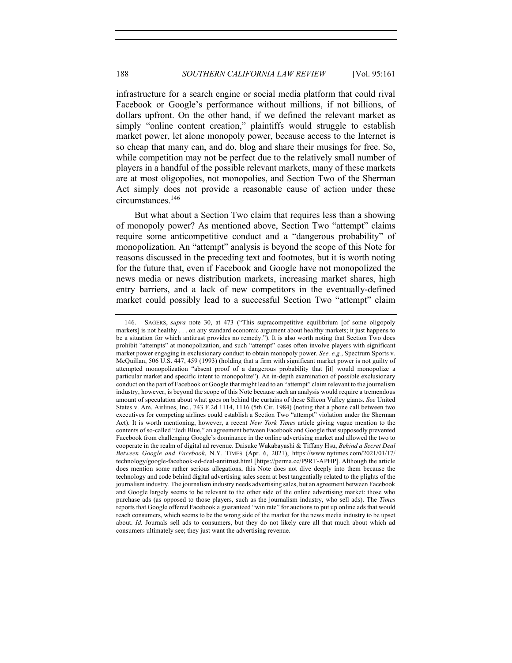infrastructure for a search engine or social media platform that could rival Facebook or Google's performance without millions, if not billions, of dollars upfront. On the other hand, if we defined the relevant market as simply "online content creation," plaintiffs would struggle to establish market power, let alone monopoly power, because access to the Internet is so cheap that many can, and do, blog and share their musings for free. So, while competition may not be perfect due to the relatively small number of players in a handful of the possible relevant markets, many of these markets are at most oligopolies, not monopolies, and Section Two of the Sherman Act simply does not provide a reasonable cause of action under these circumstances.146

But what about a Section Two claim that requires less than a showing of monopoly power? As mentioned above, Section Two "attempt" claims require some anticompetitive conduct and a "dangerous probability" of monopolization. An "attempt" analysis is beyond the scope of this Note for reasons discussed in the preceding text and footnotes, but it is worth noting for the future that, even if Facebook and Google have not monopolized the news media or news distribution markets, increasing market shares, high entry barriers, and a lack of new competitors in the eventually-defined market could possibly lead to a successful Section Two "attempt" claim

<sup>146.</sup> SAGERS, *supra* note 30, at 473 ("This supracompetitive equilibrium [of some oligopoly markets] is not healthy . . . on any standard economic argument about healthy markets; it just happens to be a situation for which antitrust provides no remedy."). It is also worth noting that Section Two does prohibit "attempts" at monopolization, and such "attempt" cases often involve players with significant market power engaging in exclusionary conduct to obtain monopoly power. *See, e.g.*, Spectrum Sports v. McQuillan, 506 U.S. 447, 459 (1993) (holding that a firm with significant market power is not guilty of attempted monopolization "absent proof of a dangerous probability that [it] would monopolize a particular market and specific intent to monopolize"). An in-depth examination of possible exclusionary conduct on the part of Facebook or Google that might lead to an "attempt" claim relevant to the journalism industry, however, is beyond the scope of this Note because such an analysis would require a tremendous amount of speculation about what goes on behind the curtains of these Silicon Valley giants. *See* United States v. Am. Airlines, Inc., 743 F.2d 1114, 1116 (5th Cir. 1984) (noting that a phone call between two executives for competing airlines could establish a Section Two "attempt" violation under the Sherman Act). It is worth mentioning, however, a recent *New York Times* article giving vague mention to the contents of so-called "Jedi Blue," an agreement between Facebook and Google that supposedly prevented Facebook from challenging Google's dominance in the online advertising market and allowed the two to cooperate in the realm of digital ad revenue. Daisuke Wakabayashi & Tiffany Hsu, *Behind a Secret Deal Between Google and Facebook*, N.Y. TIMES (Apr. 6, 2021), https://www.nytimes.com/2021/01/17/ technology/google-facebook-ad-deal-antitrust.html [https://perma.cc/P9RT-APHP]. Although the article does mention some rather serious allegations, this Note does not dive deeply into them because the technology and code behind digital advertising sales seem at best tangentially related to the plights of the journalism industry. The journalism industry needs advertising sales, but an agreement between Facebook and Google largely seems to be relevant to the other side of the online advertising market: those who purchase ads (as opposed to those players, such as the journalism industry, who sell ads). The *Times* reports that Google offered Facebook a guaranteed "win rate" for auctions to put up online ads that would reach consumers, which seems to be the wrong side of the market for the news media industry to be upset about. *Id.* Journals sell ads to consumers, but they do not likely care all that much about which ad consumers ultimately see; they just want the advertising revenue.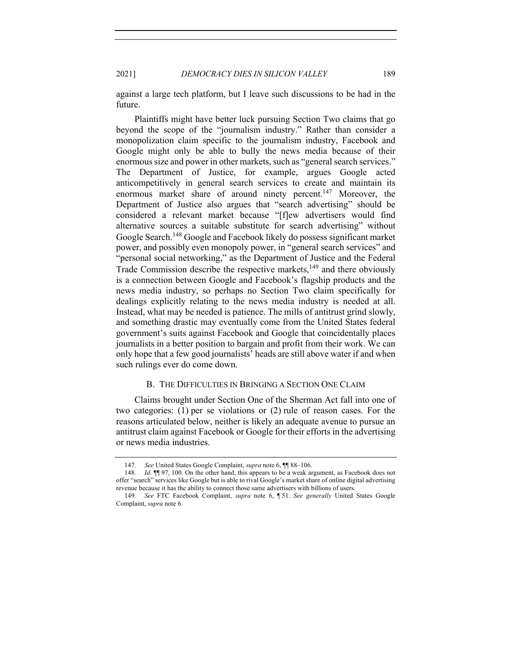2021] *DEMOCRACY DIES IN SILICON VALLEY* 189

against a large tech platform, but I leave such discussions to be had in the future.

Plaintiffs might have better luck pursuing Section Two claims that go beyond the scope of the "journalism industry." Rather than consider a monopolization claim specific to the journalism industry, Facebook and Google might only be able to bully the news media because of their enormous size and power in other markets, such as "general search services." The Department of Justice, for example, argues Google acted anticompetitively in general search services to create and maintain its enormous market share of around ninety percent.<sup>147</sup> Moreover, the Department of Justice also argues that "search advertising" should be considered a relevant market because "[f]ew advertisers would find alternative sources a suitable substitute for search advertising" without Google Search.<sup>148</sup> Google and Facebook likely do possess significant market power, and possibly even monopoly power, in "general search services" and "personal social networking," as the Department of Justice and the Federal Trade Commission describe the respective markets,<sup>149</sup> and there obviously is a connection between Google and Facebook's flagship products and the news media industry, so perhaps no Section Two claim specifically for dealings explicitly relating to the news media industry is needed at all. Instead, what may be needed is patience. The mills of antitrust grind slowly, and something drastic may eventually come from the United States federal government's suits against Facebook and Google that coincidentally places journalists in a better position to bargain and profit from their work. We can only hope that a few good journalists' heads are still above water if and when such rulings ever do come down.

# B. THE DIFFICULTIES IN BRINGING A SECTION ONE CLAIM

Claims brought under Section One of the Sherman Act fall into one of two categories: (1) per se violations or (2) rule of reason cases. For the reasons articulated below, neither is likely an adequate avenue to pursue an antitrust claim against Facebook or Google for their efforts in the advertising or news media industries.

<sup>147</sup>*. See* United States Google Complaint, *supra* note 6, ¶¶ 88–106.

<sup>148</sup>*. Id.* ¶¶ 97, 100. On the other hand, this appears to be a weak argument, as Facebook does not offer "search" services like Google but is able to rival Google's market share of online digital advertising revenue because it has the ability to connect those same advertisers with billions of users.

<sup>149</sup>*. See* FTC Facebook Complaint, *supra* note 6, ¶ 51. *See generally* United States Google Complaint, *supra* note 6.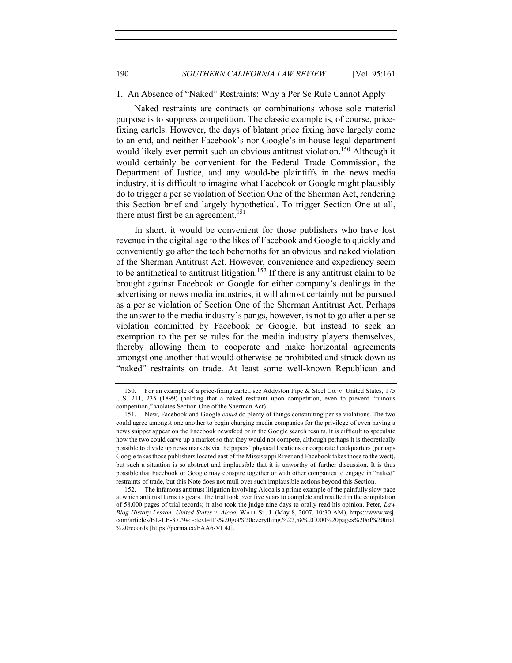# 1. An Absence of "Naked" Restraints: Why a Per Se Rule Cannot Apply

Naked restraints are contracts or combinations whose sole material purpose is to suppress competition. The classic example is, of course, pricefixing cartels. However, the days of blatant price fixing have largely come to an end, and neither Facebook's nor Google's in-house legal department would likely ever permit such an obvious antitrust violation.<sup>150</sup> Although it would certainly be convenient for the Federal Trade Commission, the Department of Justice, and any would-be plaintiffs in the news media industry, it is difficult to imagine what Facebook or Google might plausibly do to trigger a per se violation of Section One of the Sherman Act, rendering this Section brief and largely hypothetical. To trigger Section One at all, there must first be an agreement.<sup>151</sup>

In short, it would be convenient for those publishers who have lost revenue in the digital age to the likes of Facebook and Google to quickly and conveniently go after the tech behemoths for an obvious and naked violation of the Sherman Antitrust Act. However, convenience and expediency seem to be antithetical to antitrust litigation.<sup>152</sup> If there is any antitrust claim to be brought against Facebook or Google for either company's dealings in the advertising or news media industries, it will almost certainly not be pursued as a per se violation of Section One of the Sherman Antitrust Act. Perhaps the answer to the media industry's pangs, however, is not to go after a per se violation committed by Facebook or Google, but instead to seek an exemption to the per se rules for the media industry players themselves, thereby allowing them to cooperate and make horizontal agreements amongst one another that would otherwise be prohibited and struck down as "naked" restraints on trade. At least some well-known Republican and

<sup>150.</sup> For an example of a price-fixing cartel, see Addyston Pipe & Steel Co. v. United States, 175 U.S. 211, 235 (1899) (holding that a naked restraint upon competition, even to prevent "ruinous competition," violates Section One of the Sherman Act).

<sup>151.</sup> Now, Facebook and Google *could* do plenty of things constituting per se violations. The two could agree amongst one another to begin charging media companies for the privilege of even having a news snippet appear on the Facebook newsfeed or in the Google search results. It is difficult to speculate how the two could carve up a market so that they would not compete, although perhaps it is theoretically possible to divide up news markets via the papers' physical locations or corporate headquarters (perhaps Google takes those publishers located east of the Mississippi River and Facebook takes those to the west), but such a situation is so abstract and implausible that it is unworthy of further discussion. It is thus possible that Facebook or Google may conspire together or with other companies to engage in "naked" restraints of trade, but this Note does not mull over such implausible actions beyond this Section.

<sup>152.</sup> The infamous antitrust litigation involving Alcoa is a prime example of the painfully slow pace at which antitrust turns its gears. The trial took over five years to complete and resulted in the compilation of 58,000 pages of trial records; it also took the judge nine days to orally read his opinion. Peter, *Law Blog History Lesson: United States v. Alcoa*, WALL ST. J. (May 8, 2007, 10:30 AM), https://www.wsj. com/articles/BL-LB-3779#:~:text=It's%20got%20everything.%22,58%2C000%20pages%20of%20trial %20records [https://perma.cc/FAA6-VL4J].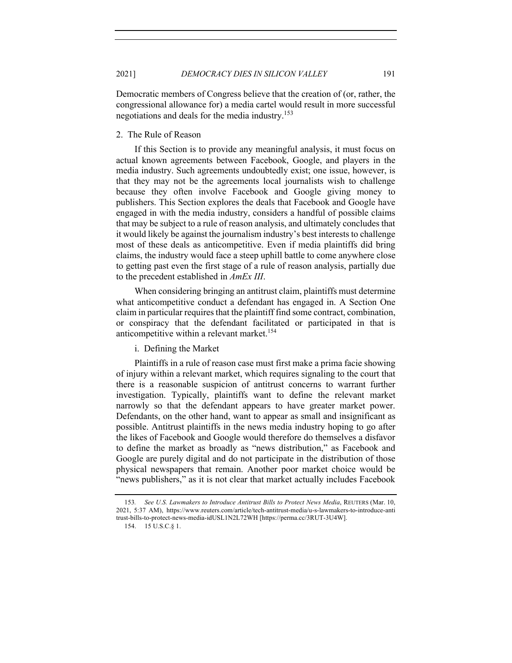Democratic members of Congress believe that the creation of (or, rather, the congressional allowance for) a media cartel would result in more successful negotiations and deals for the media industry.<sup>153</sup>

# 2. The Rule of Reason

If this Section is to provide any meaningful analysis, it must focus on actual known agreements between Facebook, Google, and players in the media industry. Such agreements undoubtedly exist; one issue, however, is that they may not be the agreements local journalists wish to challenge because they often involve Facebook and Google giving money to publishers. This Section explores the deals that Facebook and Google have engaged in with the media industry, considers a handful of possible claims that may be subject to a rule of reason analysis, and ultimately concludes that it would likely be against the journalism industry's best interests to challenge most of these deals as anticompetitive. Even if media plaintiffs did bring claims, the industry would face a steep uphill battle to come anywhere close to getting past even the first stage of a rule of reason analysis, partially due to the precedent established in *AmEx III*.

When considering bringing an antitrust claim, plaintiffs must determine what anticompetitive conduct a defendant has engaged in. A Section One claim in particular requires that the plaintiff find some contract, combination, or conspiracy that the defendant facilitated or participated in that is anticompetitive within a relevant market.<sup>154</sup>

i. Defining the Market

Plaintiffs in a rule of reason case must first make a prima facie showing of injury within a relevant market, which requires signaling to the court that there is a reasonable suspicion of antitrust concerns to warrant further investigation. Typically, plaintiffs want to define the relevant market narrowly so that the defendant appears to have greater market power. Defendants, on the other hand, want to appear as small and insignificant as possible. Antitrust plaintiffs in the news media industry hoping to go after the likes of Facebook and Google would therefore do themselves a disfavor to define the market as broadly as "news distribution," as Facebook and Google are purely digital and do not participate in the distribution of those physical newspapers that remain. Another poor market choice would be "news publishers," as it is not clear that market actually includes Facebook

<sup>153</sup>*. See U.S. Lawmakers to Introduce Antitrust Bills to Protect News Media*, REUTERS (Mar. 10, 2021, 5:37 AM), https://www.reuters.com/article/tech-antitrust-media/u-s-lawmakers-to-introduce-anti trust-bills-to-protect-news-media-idUSL1N2L72WH [https://perma.cc/3RUT-3U4W].

<sup>154.</sup> 15 U.S.C.§ 1.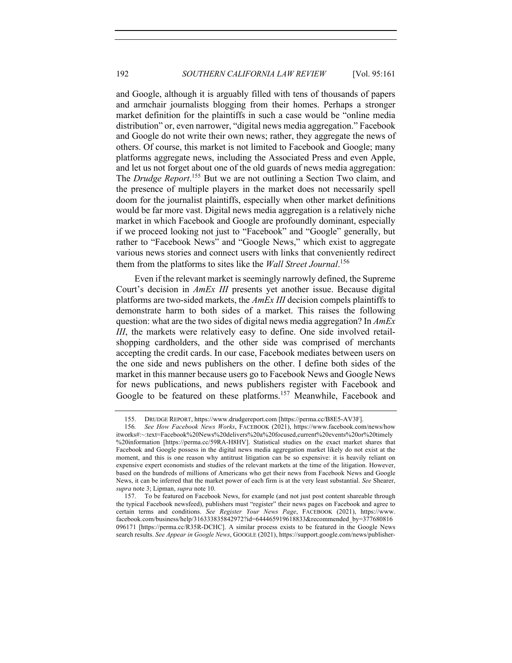and Google, although it is arguably filled with tens of thousands of papers and armchair journalists blogging from their homes. Perhaps a stronger market definition for the plaintiffs in such a case would be "online media distribution" or, even narrower, "digital news media aggregation." Facebook and Google do not write their own news; rather, they aggregate the news of others. Of course, this market is not limited to Facebook and Google; many platforms aggregate news, including the Associated Press and even Apple, and let us not forget about one of the old guards of news media aggregation: The *Drudge Report*. <sup>155</sup> But we are not outlining a Section Two claim, and the presence of multiple players in the market does not necessarily spell doom for the journalist plaintiffs, especially when other market definitions would be far more vast. Digital news media aggregation is a relatively niche market in which Facebook and Google are profoundly dominant, especially if we proceed looking not just to "Facebook" and "Google" generally, but rather to "Facebook News" and "Google News," which exist to aggregate various news stories and connect users with links that conveniently redirect them from the platforms to sites like the *Wall Street Journal*. 156

Even if the relevant market is seemingly narrowly defined, the Supreme Court's decision in *AmEx III* presents yet another issue. Because digital platforms are two-sided markets, the *AmEx III* decision compels plaintiffs to demonstrate harm to both sides of a market. This raises the following question: what are the two sides of digital news media aggregation? In *AmEx III*, the markets were relatively easy to define. One side involved retailshopping cardholders, and the other side was comprised of merchants accepting the credit cards. In our case, Facebook mediates between users on the one side and news publishers on the other. I define both sides of the market in this manner because users go to Facebook News and Google News for news publications, and news publishers register with Facebook and Google to be featured on these platforms.<sup>157</sup> Meanwhile, Facebook and

<sup>155.</sup> DRUDGE REPORT, https://www.drudgereport.com [https://perma.cc/B8E5-AV3F].

<sup>156</sup>*. See How Facebook News Works*, FACEBOOK (2021), https://www.facebook.com/news/how itworks#:~:text=Facebook%20News%20delivers%20a%20focused,current%20events%20or%20timely %20information [https://perma.cc/59RA-H8HV]. Statistical studies on the exact market shares that Facebook and Google possess in the digital news media aggregation market likely do not exist at the moment, and this is one reason why antitrust litigation can be so expensive: it is heavily reliant on expensive expert economists and studies of the relevant markets at the time of the litigation. However, based on the hundreds of millions of Americans who get their news from Facebook News and Google News, it can be inferred that the market power of each firm is at the very least substantial. *See* Shearer, *supra* note 3; Lipman, *supra* note 10.

<sup>157.</sup> To be featured on Facebook News, for example (and not just post content shareable through the typical Facebook newsfeed), publishers must "register" their news pages on Facebook and agree to certain terms and conditions. *See Register Your News Page*, FACEBOOK (2021), https://www. facebook.com/business/help/316333835842972?id=644465919618833&recommended\_by=377680816 096171 [https://perma.cc/R35R-DCHC]. A similar process exists to be featured in the Google News search results. *See Appear in Google News*, GOOGLE (2021), https://support.google.com/news/publisher-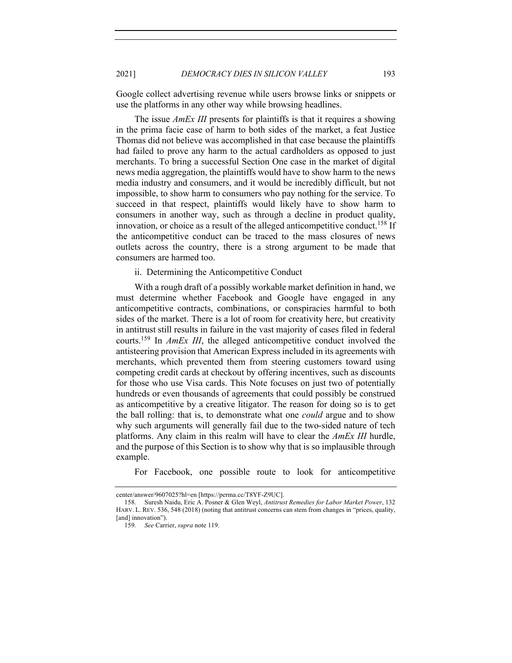Google collect advertising revenue while users browse links or snippets or use the platforms in any other way while browsing headlines.

The issue *AmEx III* presents for plaintiffs is that it requires a showing in the prima facie case of harm to both sides of the market, a feat Justice Thomas did not believe was accomplished in that case because the plaintiffs had failed to prove any harm to the actual cardholders as opposed to just merchants. To bring a successful Section One case in the market of digital news media aggregation, the plaintiffs would have to show harm to the news media industry and consumers, and it would be incredibly difficult, but not impossible, to show harm to consumers who pay nothing for the service. To succeed in that respect, plaintiffs would likely have to show harm to consumers in another way, such as through a decline in product quality, innovation, or choice as a result of the alleged anticompetitive conduct.<sup>158</sup> If the anticompetitive conduct can be traced to the mass closures of news outlets across the country, there is a strong argument to be made that consumers are harmed too.

# ii. Determining the Anticompetitive Conduct

With a rough draft of a possibly workable market definition in hand, we must determine whether Facebook and Google have engaged in any anticompetitive contracts, combinations, or conspiracies harmful to both sides of the market. There is a lot of room for creativity here, but creativity in antitrust still results in failure in the vast majority of cases filed in federal courts.159 In *AmEx III*, the alleged anticompetitive conduct involved the antisteering provision that American Express included in its agreements with merchants, which prevented them from steering customers toward using competing credit cards at checkout by offering incentives, such as discounts for those who use Visa cards. This Note focuses on just two of potentially hundreds or even thousands of agreements that could possibly be construed as anticompetitive by a creative litigator. The reason for doing so is to get the ball rolling: that is, to demonstrate what one *could* argue and to show why such arguments will generally fail due to the two-sided nature of tech platforms. Any claim in this realm will have to clear the *AmEx III* hurdle, and the purpose of this Section is to show why that is so implausible through example.

For Facebook, one possible route to look for anticompetitive

center/answer/9607025?hl=en [https://perma.cc/T8YF-Z9UC].

<sup>158.</sup> Suresh Naidu, Eric A. Posner & Glen Weyl, *Antitrust Remedies for Labor Market Power*, 132 HARV. L. REV. 536, 548 (2018) (noting that antitrust concerns can stem from changes in "prices, quality, [and] innovation").

<sup>159</sup>*. See* Carrier, *supra* note 119.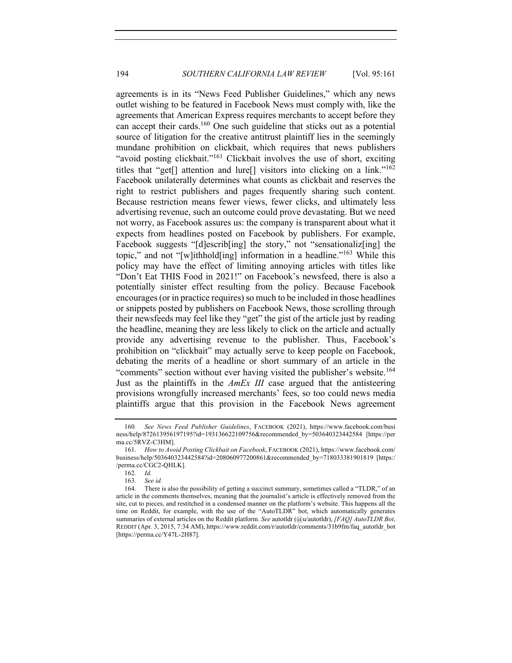agreements is in its "News Feed Publisher Guidelines," which any news outlet wishing to be featured in Facebook News must comply with, like the agreements that American Express requires merchants to accept before they can accept their cards.<sup>160</sup> One such guideline that sticks out as a potential source of litigation for the creative antitrust plaintiff lies in the seemingly mundane prohibition on clickbait, which requires that news publishers "avoid posting clickbait."<sup>161</sup> Clickbait involves the use of short, exciting titles that "get<sup>[]</sup> attention and lure<sup>[]</sup> visitors into clicking on a link."<sup>162</sup> Facebook unilaterally determines what counts as clickbait and reserves the right to restrict publishers and pages frequently sharing such content. Because restriction means fewer views, fewer clicks, and ultimately less advertising revenue, such an outcome could prove devastating. But we need not worry, as Facebook assures us: the company is transparent about what it expects from headlines posted on Facebook by publishers. For example, Facebook suggests "[d]escrib[ing] the story," not "sensationaliz[ing] the topic," and not "[w]ithhold[ing] information in a headline."<sup>163</sup> While this policy may have the effect of limiting annoying articles with titles like "Don't Eat THIS Food in 2021!" on Facebook's newsfeed, there is also a potentially sinister effect resulting from the policy. Because Facebook encourages (or in practice requires) so much to be included in those headlines or snippets posted by publishers on Facebook News, those scrolling through their newsfeeds may feel like they "get" the gist of the article just by reading the headline, meaning they are less likely to click on the article and actually provide any advertising revenue to the publisher. Thus, Facebook's prohibition on "clickbait" may actually serve to keep people on Facebook, debating the merits of a headline or short summary of an article in the "comments" section without ever having visited the publisher's website.<sup>164</sup> Just as the plaintiffs in the *AmEx III* case argued that the antisteering provisions wrongfully increased merchants' fees, so too could news media plaintiffs argue that this provision in the Facebook News agreement

<sup>160</sup>*. See News Feed Publisher Guidelines*, FACEBOOK (2021), https://www.facebook.com/busi ness/help/872613956197195?id=193136622109756&recommended\_by=503640323442584 [https://per ma.cc/5RVZ-C3HM].

<sup>161.</sup> *How to Avoid Posting Clickbait on Facebook*, FACEBOOK (2021), https://www.facebook.com/ business/help/503640323442584?id=208060977200861&recommended\_by=718033381901819 [https:/ /perma.cc/CGC2-QHLK].

<sup>162</sup>*. Id.* 

<sup>163</sup>*. See id.*

<sup>164.</sup> There is also the possibility of getting a succinct summary, sometimes called a "TLDR," of an article in the comments themselves, meaning that the journalist's article is effectively removed from the site, cut to pieces, and restitched in a condensed manner on the platform's website. This happens all the time on Reddit, for example, with the use of the "AutoTLDR" bot, which automatically generates summaries of external articles on the Reddit platform. *See* autotldr (@u/autotldr), *[FAQ] AutoTLDR Bot*, REDDIT (Apr. 3, 2015, 7:34 AM), https://www.reddit.com/r/autotldr/comments/31b9fm/faq\_autotldr\_bot [https://perma.cc/Y47L-2H87].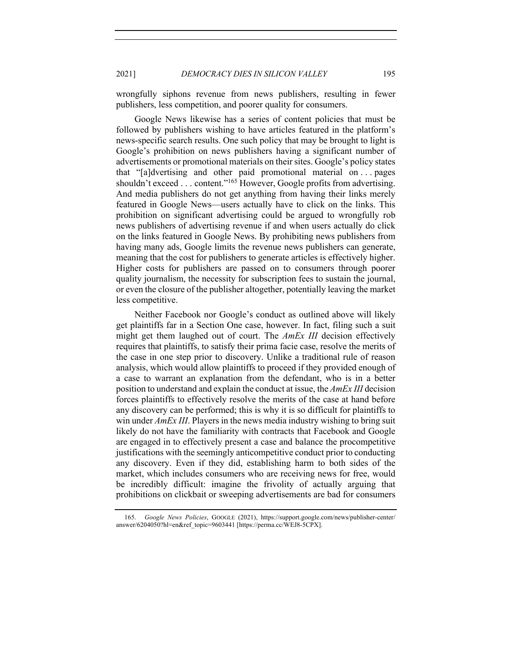wrongfully siphons revenue from news publishers, resulting in fewer publishers, less competition, and poorer quality for consumers.

Google News likewise has a series of content policies that must be followed by publishers wishing to have articles featured in the platform's news-specific search results. One such policy that may be brought to light is Google's prohibition on news publishers having a significant number of advertisements or promotional materials on their sites. Google's policy states that "[a]dvertising and other paid promotional material on . . . pages shouldn't exceed . . . content."<sup>165</sup> However, Google profits from advertising. And media publishers do not get anything from having their links merely featured in Google News—users actually have to click on the links. This prohibition on significant advertising could be argued to wrongfully rob news publishers of advertising revenue if and when users actually do click on the links featured in Google News. By prohibiting news publishers from having many ads, Google limits the revenue news publishers can generate, meaning that the cost for publishers to generate articles is effectively higher. Higher costs for publishers are passed on to consumers through poorer quality journalism, the necessity for subscription fees to sustain the journal, or even the closure of the publisher altogether, potentially leaving the market less competitive.

Neither Facebook nor Google's conduct as outlined above will likely get plaintiffs far in a Section One case, however. In fact, filing such a suit might get them laughed out of court. The *AmEx III* decision effectively requires that plaintiffs, to satisfy their prima facie case, resolve the merits of the case in one step prior to discovery. Unlike a traditional rule of reason analysis, which would allow plaintiffs to proceed if they provided enough of a case to warrant an explanation from the defendant, who is in a better position to understand and explain the conduct at issue, the *AmEx III* decision forces plaintiffs to effectively resolve the merits of the case at hand before any discovery can be performed; this is why it is so difficult for plaintiffs to win under *AmEx III*. Players in the news media industry wishing to bring suit likely do not have the familiarity with contracts that Facebook and Google are engaged in to effectively present a case and balance the procompetitive justifications with the seemingly anticompetitive conduct prior to conducting any discovery. Even if they did, establishing harm to both sides of the market, which includes consumers who are receiving news for free, would be incredibly difficult: imagine the frivolity of actually arguing that prohibitions on clickbait or sweeping advertisements are bad for consumers

<sup>165.</sup> *Google News Policies*, GOOGLE (2021), https://support.google.com/news/publisher-center/ answer/6204050?hl=en&ref\_topic=9603441 [https://perma.cc/WEJ8-5CPX].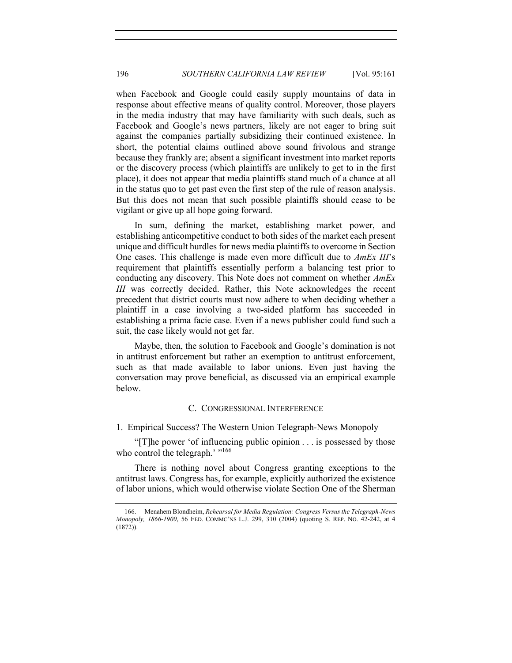when Facebook and Google could easily supply mountains of data in response about effective means of quality control. Moreover, those players in the media industry that may have familiarity with such deals, such as Facebook and Google's news partners, likely are not eager to bring suit against the companies partially subsidizing their continued existence. In short, the potential claims outlined above sound frivolous and strange because they frankly are; absent a significant investment into market reports or the discovery process (which plaintiffs are unlikely to get to in the first place), it does not appear that media plaintiffs stand much of a chance at all in the status quo to get past even the first step of the rule of reason analysis. But this does not mean that such possible plaintiffs should cease to be vigilant or give up all hope going forward.

In sum, defining the market, establishing market power, and establishing anticompetitive conduct to both sides of the market each present unique and difficult hurdles for news media plaintiffs to overcome in Section One cases. This challenge is made even more difficult due to *AmEx III*'s requirement that plaintiffs essentially perform a balancing test prior to conducting any discovery. This Note does not comment on whether *AmEx III* was correctly decided. Rather, this Note acknowledges the recent precedent that district courts must now adhere to when deciding whether a plaintiff in a case involving a two-sided platform has succeeded in establishing a prima facie case. Even if a news publisher could fund such a suit, the case likely would not get far.

Maybe, then, the solution to Facebook and Google's domination is not in antitrust enforcement but rather an exemption to antitrust enforcement, such as that made available to labor unions. Even just having the conversation may prove beneficial, as discussed via an empirical example below.

# C. CONGRESSIONAL INTERFERENCE

# 1. Empirical Success? The Western Union Telegraph-News Monopoly

"[T]he power 'of influencing public opinion . . . is possessed by those who control the telegraph.' "<sup>166</sup>

There is nothing novel about Congress granting exceptions to the antitrust laws. Congress has, for example, explicitly authorized the existence of labor unions, which would otherwise violate Section One of the Sherman

<sup>166.</sup> Menahem Blondheim, *Rehearsal for Media Regulation: Congress Versus the Telegraph-News Monopoly, 1866-1900*, 56 FED. COMMC'NS L.J. 299, 310 (2004) (quoting S. REP. NO. 42-242, at 4 (1872)).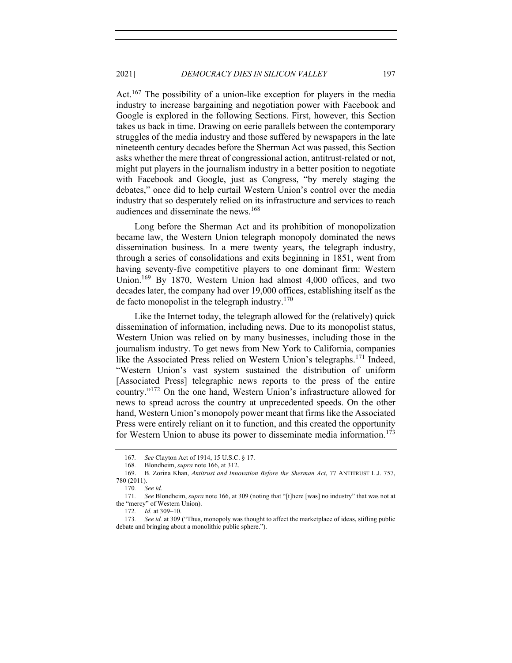Act.<sup>167</sup> The possibility of a union-like exception for players in the media industry to increase bargaining and negotiation power with Facebook and Google is explored in the following Sections. First, however, this Section takes us back in time. Drawing on eerie parallels between the contemporary struggles of the media industry and those suffered by newspapers in the late nineteenth century decades before the Sherman Act was passed, this Section asks whether the mere threat of congressional action, antitrust-related or not, might put players in the journalism industry in a better position to negotiate with Facebook and Google, just as Congress, "by merely staging the debates," once did to help curtail Western Union's control over the media industry that so desperately relied on its infrastructure and services to reach audiences and disseminate the news.<sup>168</sup>

Long before the Sherman Act and its prohibition of monopolization became law, the Western Union telegraph monopoly dominated the news dissemination business. In a mere twenty years, the telegraph industry, through a series of consolidations and exits beginning in 1851, went from having seventy-five competitive players to one dominant firm: Western Union.169 By 1870, Western Union had almost 4,000 offices, and two decades later, the company had over 19,000 offices, establishing itself as the de facto monopolist in the telegraph industry. $170$ 

Like the Internet today, the telegraph allowed for the (relatively) quick dissemination of information, including news. Due to its monopolist status, Western Union was relied on by many businesses, including those in the journalism industry. To get news from New York to California, companies like the Associated Press relied on Western Union's telegraphs.<sup>171</sup> Indeed, "Western Union's vast system sustained the distribution of uniform [Associated Press] telegraphic news reports to the press of the entire country."<sup>172</sup> On the one hand, Western Union's infrastructure allowed for news to spread across the country at unprecedented speeds. On the other hand, Western Union's monopoly power meant that firms like the Associated Press were entirely reliant on it to function, and this created the opportunity for Western Union to abuse its power to disseminate media information.<sup>173</sup>

<sup>167</sup>*. See* Clayton Act of 1914, 15 U.S.C. § 17.

<sup>168</sup>*.* Blondheim, *supra* note 166, at 312.

<sup>169.</sup> B. Zorina Khan, *Antitrust and Innovation Before the Sherman Act*, 77 ANTITRUST L.J. 757, 780 (2011).

<sup>170</sup>*. See id.*

<sup>171</sup>*. See* Blondheim, *supra* note 166, at 309 (noting that "[t]here [was] no industry" that was not at the "mercy" of Western Union).

<sup>172</sup>*. Id.* at 309–10.

<sup>173</sup>*. See id.* at 309 ("Thus, monopoly was thought to affect the marketplace of ideas, stifling public debate and bringing about a monolithic public sphere.").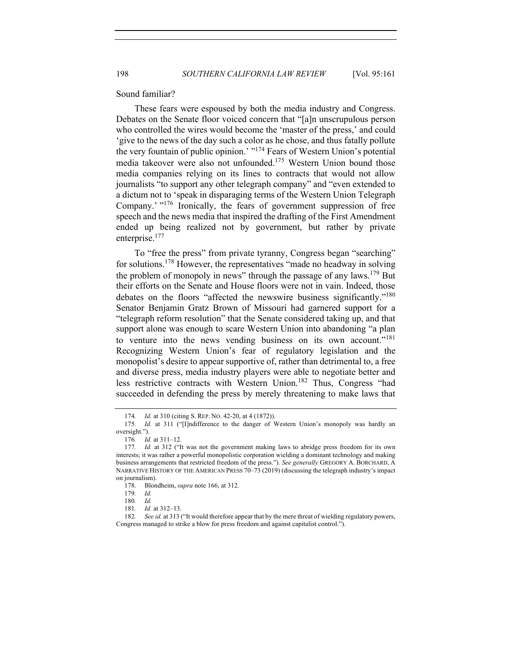#### Sound familiar?

These fears were espoused by both the media industry and Congress. Debates on the Senate floor voiced concern that "[a]n unscrupulous person who controlled the wires would become the 'master of the press,' and could 'give to the news of the day such a color as he chose, and thus fatally pollute the very fountain of public opinion.' "<sup>174</sup> Fears of Western Union's potential media takeover were also not unfounded.<sup>175</sup> Western Union bound those media companies relying on its lines to contracts that would not allow journalists "to support any other telegraph company" and "even extended to a dictum not to 'speak in disparaging terms of the Western Union Telegraph Company.' "<sup>176</sup> Ironically, the fears of government suppression of free speech and the news media that inspired the drafting of the First Amendment ended up being realized not by government, but rather by private enterprise.<sup>177</sup>

To "free the press" from private tyranny, Congress began "searching" for solutions.<sup>178</sup> However, the representatives "made no headway in solving the problem of monopoly in news" through the passage of any laws.<sup>179</sup> But their efforts on the Senate and House floors were not in vain. Indeed, those debates on the floors "affected the newswire business significantly."<sup>180</sup> Senator Benjamin Gratz Brown of Missouri had garnered support for a "telegraph reform resolution" that the Senate considered taking up, and that support alone was enough to scare Western Union into abandoning "a plan to venture into the news vending business on its own account."<sup>181</sup> Recognizing Western Union's fear of regulatory legislation and the monopolist's desire to appear supportive of, rather than detrimental to, a free and diverse press, media industry players were able to negotiate better and less restrictive contracts with Western Union.<sup>182</sup> Thus, Congress "had succeeded in defending the press by merely threatening to make laws that

<sup>174</sup>*. Id.* at 310 (citing S. REP. NO. 42-20, at 4 (1872)).

<sup>175</sup>*. Id.* at 311 ("[I]ndifference to the danger of Western Union's monopoly was hardly an oversight.").

<sup>176</sup>*. Id.* at 311–12.

<sup>177</sup>*. Id.* at 312 ("It was not the government making laws to abridge press freedom for its own interests; it was rather a powerful monopolistic corporation wielding a dominant technology and making business arrangements that restricted freedom of the press."). *See generally* GREGORY A. BORCHARD, A NARRATIVE HISTORY OF THE AMERICAN PRESS 70–73 (2019) (discussing the telegraph industry's impact on journalism).

<sup>178.</sup> Blondheim, *supra* note 166, at 312.

<sup>179</sup>*. Id.* 

<sup>180</sup>*. Id.* 

<sup>181</sup>*. Id.* at 312–13.

<sup>182</sup>*. See id.* at 313 ("It would therefore appear that by the mere threat of wielding regulatory powers, Congress managed to strike a blow for press freedom and against capitalist control.").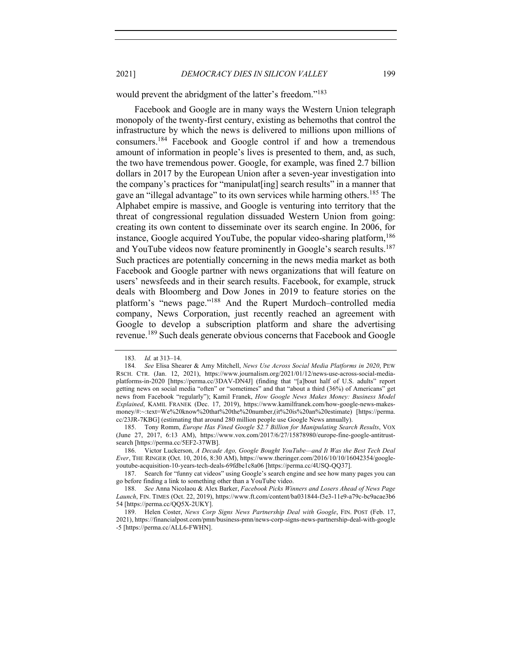would prevent the abridgment of the latter's freedom."<sup>183</sup>

Facebook and Google are in many ways the Western Union telegraph monopoly of the twenty-first century, existing as behemoths that control the infrastructure by which the news is delivered to millions upon millions of consumers.184 Facebook and Google control if and how a tremendous amount of information in people's lives is presented to them, and, as such, the two have tremendous power. Google, for example, was fined 2.7 billion dollars in 2017 by the European Union after a seven-year investigation into the company's practices for "manipulat[ing] search results" in a manner that gave an "illegal advantage" to its own services while harming others.<sup>185</sup> The Alphabet empire is massive, and Google is venturing into territory that the threat of congressional regulation dissuaded Western Union from going: creating its own content to disseminate over its search engine. In 2006, for instance, Google acquired YouTube, the popular video-sharing platform,  $186$ and YouTube videos now feature prominently in Google's search results.<sup>187</sup> Such practices are potentially concerning in the news media market as both Facebook and Google partner with news organizations that will feature on users' newsfeeds and in their search results. Facebook, for example, struck deals with Bloomberg and Dow Jones in 2019 to feature stories on the platform's "news page."<sup>188</sup> And the Rupert Murdoch–controlled media company, News Corporation, just recently reached an agreement with Google to develop a subscription platform and share the advertising revenue.<sup>189</sup> Such deals generate obvious concerns that Facebook and Google

<sup>183</sup>*. Id.* at 313–14.

<sup>184</sup>*. See* Elisa Shearer & Amy Mitchell, *News Use Across Social Media Platforms in 2020*, PEW RSCH. CTR. (Jan. 12, 2021), https://www.journalism.org/2021/01/12/news-use-across-social-mediaplatforms-in-2020 [https://perma.cc/3DAV-DN4J] (finding that "[a]bout half of U.S. adults" report getting news on social media "often" or "sometimes" and that "about a third (36%) of Americans" get news from Facebook "regularly"); Kamil Franek, *How Google News Makes Money: Business Model Explained*, KAMIL FRANEK (Dec. 17, 2019), https://www.kamilfranek.com/how-google-news-makesmoney/#:~:text=We%20know%20that%20the%20number,(it%20is%20an%20estimate) [https://perma. cc/23JR-7KBG] (estimating that around 280 million people use Google News annually).

<sup>185.</sup> Tony Romm, *Europe Has Fined Google \$2.7 Billion for Manipulating Search Results*, VOX (June 27, 2017, 6:13 AM), https://www.vox.com/2017/6/27/15878980/europe-fine-google-antitrustsearch [https://perma.cc/5EF2-37WB].

<sup>186.</sup> Victor Luckerson, *A Decade Ago, Google Bought YouTube—and It Was the Best Tech Deal Ever*, THE RINGER (Oct. 10, 2016, 8:30 AM), https://www.theringer.com/2016/10/10/16042354/googleyoutube-acquisition-10-years-tech-deals-69fdbe1c8a06 [https://perma.cc/4USQ-QQ37].

<sup>187.</sup> Search for "funny cat videos" using Google's search engine and see how many pages you can go before finding a link to something other than a YouTube video.

<sup>188.</sup> *See* Anna Nicolaou & Alex Barker, *Facebook Picks Winners and Losers Ahead of News Page Launch*, FIN. TIMES (Oct. 22, 2019), https://www.ft.com/content/ba031844-f3e3-11e9-a79c-bc9acae3b6 54 [https://perma.cc/QQ5X-2UKY].

<sup>189.</sup> Helen Coster, *News Corp Signs News Partnership Deal with Google*, FIN. POST (Feb. 17, 2021), https://financialpost.com/pmn/business-pmn/news-corp-signs-news-partnership-deal-with-google -5 [https://perma.cc/ALL6-FWHN].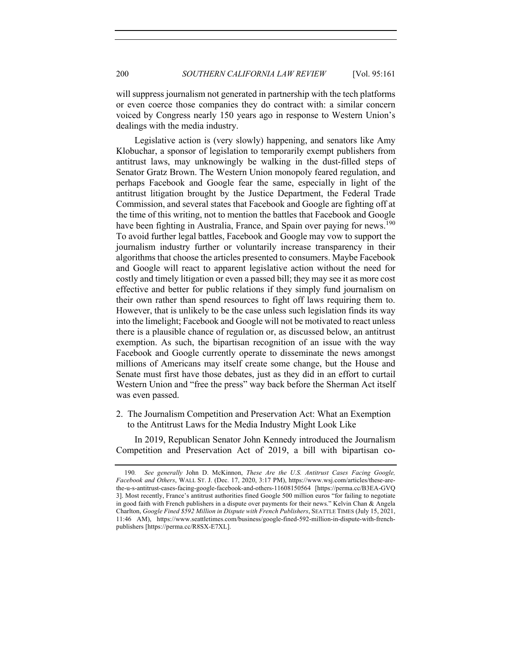will suppress journalism not generated in partnership with the tech platforms or even coerce those companies they do contract with: a similar concern voiced by Congress nearly 150 years ago in response to Western Union's dealings with the media industry.

Legislative action is (very slowly) happening, and senators like Amy Klobuchar, a sponsor of legislation to temporarily exempt publishers from antitrust laws, may unknowingly be walking in the dust-filled steps of Senator Gratz Brown. The Western Union monopoly feared regulation, and perhaps Facebook and Google fear the same, especially in light of the antitrust litigation brought by the Justice Department, the Federal Trade Commission, and several states that Facebook and Google are fighting off at the time of this writing, not to mention the battles that Facebook and Google have been fighting in Australia, France, and Spain over paying for news.<sup>190</sup> To avoid further legal battles, Facebook and Google may vow to support the journalism industry further or voluntarily increase transparency in their algorithms that choose the articles presented to consumers. Maybe Facebook and Google will react to apparent legislative action without the need for costly and timely litigation or even a passed bill; they may see it as more cost effective and better for public relations if they simply fund journalism on their own rather than spend resources to fight off laws requiring them to. However, that is unlikely to be the case unless such legislation finds its way into the limelight; Facebook and Google will not be motivated to react unless there is a plausible chance of regulation or, as discussed below, an antitrust exemption. As such, the bipartisan recognition of an issue with the way Facebook and Google currently operate to disseminate the news amongst millions of Americans may itself create some change, but the House and Senate must first have those debates, just as they did in an effort to curtail Western Union and "free the press" way back before the Sherman Act itself was even passed.

2. The Journalism Competition and Preservation Act: What an Exemption to the Antitrust Laws for the Media Industry Might Look Like

In 2019, Republican Senator John Kennedy introduced the Journalism Competition and Preservation Act of 2019, a bill with bipartisan co-

<sup>190</sup>*. See generally* John D. McKinnon, *These Are the U.S. Antitrust Cases Facing Google, Facebook and Others*, WALL ST. J. (Dec. 17, 2020, 3:17 PM), https://www.wsj.com/articles/these-arethe-u-s-antitrust-cases-facing-google-facebook-and-others-11608150564 [https://perma.cc/B3EA-GVQ 3]. Most recently, France's antitrust authorities fined Google 500 million euros "for failing to negotiate in good faith with French publishers in a dispute over payments for their news." Kelvin Chan & Angela Charlton, *Google Fined \$592 Million in Dispute with French Publishers*, SEATTLE TIMES (July 15, 2021, 11:46 AM), https://www.seattletimes.com/business/google-fined-592-million-in-dispute-with-frenchpublishers [https://perma.cc/R8SX-E7XL].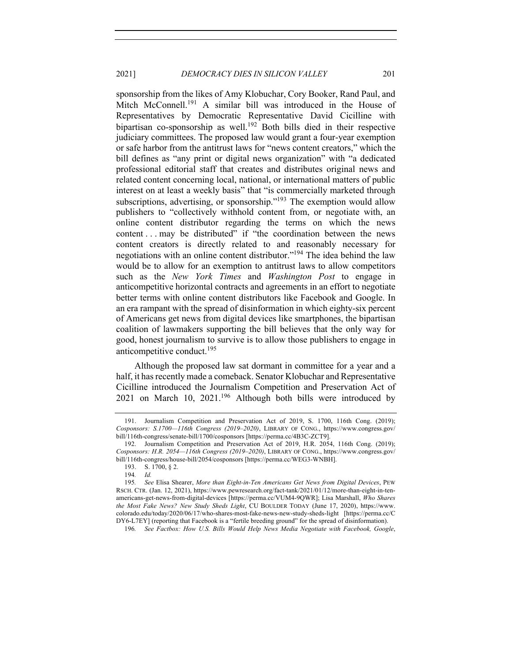# 2021] *DEMOCRACY DIES IN SILICON VALLEY* 201

sponsorship from the likes of Amy Klobuchar, Cory Booker, Rand Paul, and Mitch McConnell.<sup>191</sup> A similar bill was introduced in the House of Representatives by Democratic Representative David Cicilline with bipartisan co-sponsorship as well.<sup>192</sup> Both bills died in their respective judiciary committees. The proposed law would grant a four-year exemption or safe harbor from the antitrust laws for "news content creators," which the bill defines as "any print or digital news organization" with "a dedicated professional editorial staff that creates and distributes original news and related content concerning local, national, or international matters of public interest on at least a weekly basis" that "is commercially marketed through subscriptions, advertising, or sponsorship."<sup>193</sup> The exemption would allow publishers to "collectively withhold content from, or negotiate with, an online content distributor regarding the terms on which the news content . . . may be distributed" if "the coordination between the news content creators is directly related to and reasonably necessary for negotiations with an online content distributor."194 The idea behind the law would be to allow for an exemption to antitrust laws to allow competitors such as the *New York Times* and *Washington Post* to engage in anticompetitive horizontal contracts and agreements in an effort to negotiate better terms with online content distributors like Facebook and Google. In an era rampant with the spread of disinformation in which eighty-six percent of Americans get news from digital devices like smartphones, the bipartisan coalition of lawmakers supporting the bill believes that the only way for good, honest journalism to survive is to allow those publishers to engage in anticompetitive conduct. $195$ 

Although the proposed law sat dormant in committee for a year and a half, it has recently made a comeback. Senator Klobuchar and Representative Cicilline introduced the Journalism Competition and Preservation Act of 2021 on March 10,  $2021$ .<sup>196</sup> Although both bills were introduced by

<sup>191.</sup> Journalism Competition and Preservation Act of 2019, S. 1700, 116th Cong. (2019); *Cosponsors: S.1700—116th Congress (2019–2020)*, LIBRARY OF CONG., https://www.congress.gov/ bill/116th-congress/senate-bill/1700/cosponsors [https://perma.cc/4B3C-ZCT9].

<sup>192.</sup> Journalism Competition and Preservation Act of 2019, H.R. 2054, 116th Cong. (2019); *Cosponsors: H.R. 2054—116th Congress (2019–2020)*, LIBRARY OF CONG., https://www.congress.gov/ bill/116th-congress/house-bill/2054/cosponsors [https://perma.cc/WEG3-WNBH].

<sup>193.</sup> S. 1700, § 2.

<sup>194</sup>*. Id.*

<sup>195</sup>*. See* Elisa Shearer, *More than Eight-in-Ten Americans Get News from Digital Devices*, PEW RSCH. CTR. (Jan. 12, 2021), https://www.pewresearch.org/fact-tank/2021/01/12/more-than-eight-in-tenamericans-get-news-from-digital-devices [https://perma.cc/VUM4-9QWR]; Lisa Marshall, *Who Shares the Most Fake News? New Study Sheds Light*, CU BOULDER TODAY (June 17, 2020), https://www. colorado.edu/today/2020/06/17/who-shares-most-fake-news-new-study-sheds-light [https://perma.cc/C DY6-L7EY] (reporting that Facebook is a "fertile breeding ground" for the spread of disinformation).

<sup>196</sup>*. See Factbox: How U.S. Bills Would Help News Media Negotiate with Facebook, Google*,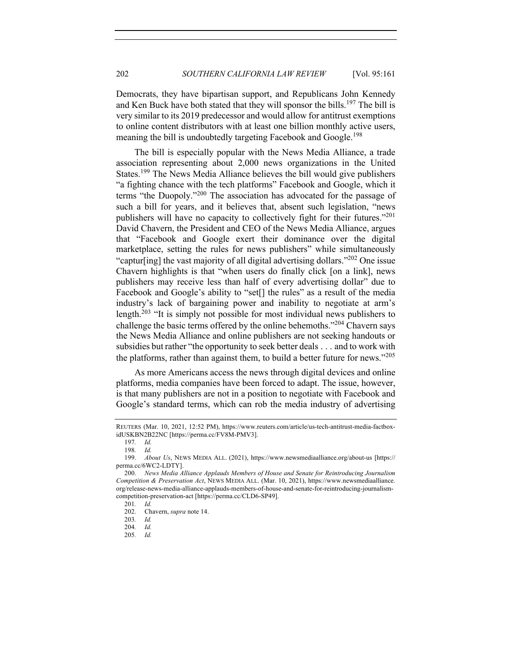Democrats, they have bipartisan support, and Republicans John Kennedy and Ken Buck have both stated that they will sponsor the bills. <sup>197</sup> The bill is very similar to its 2019 predecessor and would allow for antitrust exemptions to online content distributors with at least one billion monthly active users, meaning the bill is undoubtedly targeting Facebook and Google.<sup>198</sup>

The bill is especially popular with the News Media Alliance, a trade association representing about 2,000 news organizations in the United States.<sup>199</sup> The News Media Alliance believes the bill would give publishers "a fighting chance with the tech platforms" Facebook and Google, which it terms "the Duopoly."<sup>200</sup> The association has advocated for the passage of such a bill for years, and it believes that, absent such legislation, "news publishers will have no capacity to collectively fight for their futures."<sup>201</sup> David Chavern, the President and CEO of the News Media Alliance, argues that "Facebook and Google exert their dominance over the digital marketplace, setting the rules for news publishers" while simultaneously "captur[ing] the vast majority of all digital advertising dollars."202 One issue Chavern highlights is that "when users do finally click [on a link], news publishers may receive less than half of every advertising dollar" due to Facebook and Google's ability to "set<sup>[]</sup> the rules" as a result of the media industry's lack of bargaining power and inability to negotiate at arm's length.<sup>203</sup> "It is simply not possible for most individual news publishers to challenge the basic terms offered by the online behemoths." $^{204}$  Chavern says the News Media Alliance and online publishers are not seeking handouts or subsidies but rather "the opportunity to seek better deals . . . and to work with the platforms, rather than against them, to build a better future for news."<sup>205</sup>

As more Americans access the news through digital devices and online platforms, media companies have been forced to adapt. The issue, however, is that many publishers are not in a position to negotiate with Facebook and Google's standard terms, which can rob the media industry of advertising

REUTERS (Mar. 10, 2021, 12:52 PM), https://www.reuters.com/article/us-tech-antitrust-media-factboxidUSKBN2B22NC [https://perma.cc/FV8M-PMV3].

<sup>197</sup>*. Id.* 

<sup>198</sup>*. Id.*

<sup>199.</sup> *About Us*, NEWS MEDIA ALL. (2021), https://www.newsmediaalliance.org/about-us [https:// perma.cc/6WC2-LDTY].

<sup>200.</sup> *News Media Alliance Applauds Members of House and Senate for Reintroducing Journalism Competition & Preservation Act*, NEWS MEDIA ALL. (Mar. 10, 2021), https://www.newsmediaalliance. org/release-news-media-alliance-applauds-members-of-house-and-senate-for-reintroducing-journalismcompetition-preservation-act [https://perma.cc/CLD6-SP49].

<sup>201</sup>*. Id.*

<sup>202.</sup> Chavern, *supra* note 14.

<sup>203</sup>*. Id.*

<sup>204</sup>*. Id.*

<sup>205</sup>*. Id.*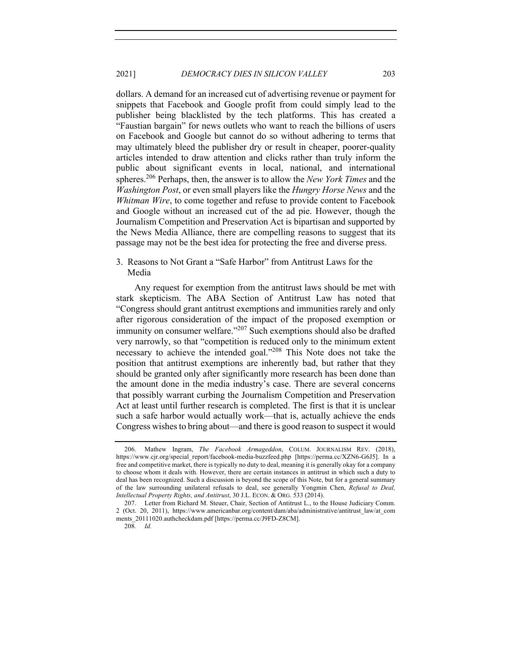dollars. A demand for an increased cut of advertising revenue or payment for snippets that Facebook and Google profit from could simply lead to the publisher being blacklisted by the tech platforms. This has created a "Faustian bargain" for news outlets who want to reach the billions of users on Facebook and Google but cannot do so without adhering to terms that may ultimately bleed the publisher dry or result in cheaper, poorer-quality articles intended to draw attention and clicks rather than truly inform the public about significant events in local, national, and international spheres.<sup>206</sup> Perhaps, then, the answer is to allow the *New York Times* and the *Washington Post*, or even small players like the *Hungry Horse News* and the *Whitman Wire*, to come together and refuse to provide content to Facebook and Google without an increased cut of the ad pie. However, though the Journalism Competition and Preservation Act is bipartisan and supported by the News Media Alliance, there are compelling reasons to suggest that its passage may not be the best idea for protecting the free and diverse press.

3. Reasons to Not Grant a "Safe Harbor" from Antitrust Laws for the Media

Any request for exemption from the antitrust laws should be met with stark skepticism. The ABA Section of Antitrust Law has noted that "Congress should grant antitrust exemptions and immunities rarely and only after rigorous consideration of the impact of the proposed exemption or immunity on consumer welfare."<sup>207</sup> Such exemptions should also be drafted very narrowly, so that "competition is reduced only to the minimum extent necessary to achieve the intended goal."<sup>208</sup> This Note does not take the position that antitrust exemptions are inherently bad, but rather that they should be granted only after significantly more research has been done than the amount done in the media industry's case. There are several concerns that possibly warrant curbing the Journalism Competition and Preservation Act at least until further research is completed. The first is that it is unclear such a safe harbor would actually work—that is, actually achieve the ends Congress wishes to bring about—and there is good reason to suspect it would

<sup>206.</sup> Mathew Ingram, *The Facebook Armageddon*, COLUM. JOURNALISM REV. (2018), https://www.cjr.org/special\_report/facebook-media-buzzfeed.php [https://perma.cc/XZN6-G6J5]. In a free and competitive market, there is typically no duty to deal, meaning it is generally okay for a company to choose whom it deals with. However, there are certain instances in antitrust in which such a duty to deal has been recognized. Such a discussion is beyond the scope of this Note, but for a general summary of the law surrounding unilateral refusals to deal, see generally Yongmin Chen, *Refusal to Deal, Intellectual Property Rights, and Antitrust*, 30 J.L. ECON. & ORG. 533 (2014).

<sup>207.</sup> Letter from Richard M. Steuer, Chair, Section of Antitrust L., to the House Judiciary Comm. 2 (Oct. 20, 2011), https://www.americanbar.org/content/dam/aba/administrative/antitrust\_law/at\_com ments\_20111020.authcheckdam.pdf [https://perma.cc/J9FD-Z8CM].

<sup>208</sup>*. Id.*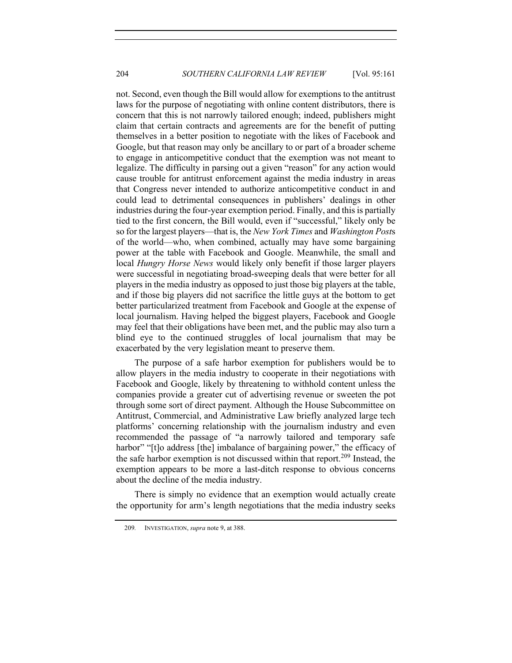not. Second, even though the Bill would allow for exemptions to the antitrust laws for the purpose of negotiating with online content distributors, there is concern that this is not narrowly tailored enough; indeed, publishers might claim that certain contracts and agreements are for the benefit of putting themselves in a better position to negotiate with the likes of Facebook and Google, but that reason may only be ancillary to or part of a broader scheme to engage in anticompetitive conduct that the exemption was not meant to legalize. The difficulty in parsing out a given "reason" for any action would cause trouble for antitrust enforcement against the media industry in areas that Congress never intended to authorize anticompetitive conduct in and could lead to detrimental consequences in publishers' dealings in other industries during the four-year exemption period. Finally, and this is partially tied to the first concern, the Bill would, even if "successful," likely only be so for the largest players—that is, the *New York Times* and *Washington Post*s of the world—who, when combined, actually may have some bargaining power at the table with Facebook and Google. Meanwhile, the small and local *Hungry Horse News* would likely only benefit if those larger players were successful in negotiating broad-sweeping deals that were better for all players in the media industry as opposed to just those big players at the table, and if those big players did not sacrifice the little guys at the bottom to get better particularized treatment from Facebook and Google at the expense of local journalism. Having helped the biggest players, Facebook and Google may feel that their obligations have been met, and the public may also turn a blind eye to the continued struggles of local journalism that may be exacerbated by the very legislation meant to preserve them.

The purpose of a safe harbor exemption for publishers would be to allow players in the media industry to cooperate in their negotiations with Facebook and Google, likely by threatening to withhold content unless the companies provide a greater cut of advertising revenue or sweeten the pot through some sort of direct payment. Although the House Subcommittee on Antitrust, Commercial, and Administrative Law briefly analyzed large tech platforms' concerning relationship with the journalism industry and even recommended the passage of "a narrowly tailored and temporary safe harbor" "[t]o address [the] imbalance of bargaining power," the efficacy of the safe harbor exemption is not discussed within that report.<sup>209</sup> Instead, the exemption appears to be more a last-ditch response to obvious concerns about the decline of the media industry.

There is simply no evidence that an exemption would actually create the opportunity for arm's length negotiations that the media industry seeks

<sup>209</sup>*.* INVESTIGATION, *supra* note 9, at 388.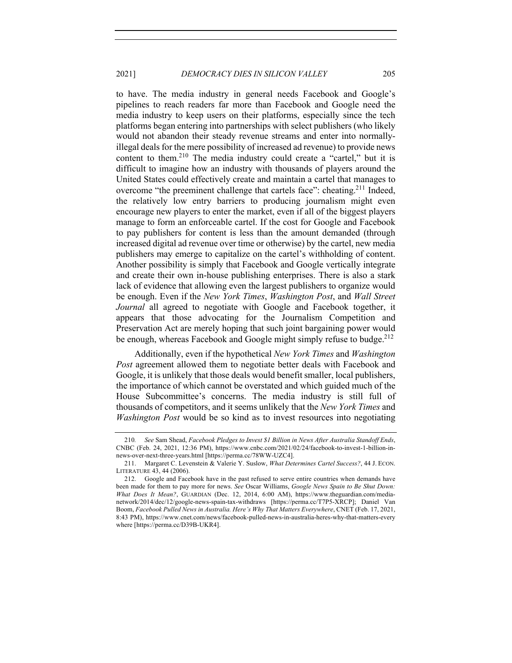to have. The media industry in general needs Facebook and Google's pipelines to reach readers far more than Facebook and Google need the media industry to keep users on their platforms, especially since the tech platforms began entering into partnerships with select publishers (who likely would not abandon their steady revenue streams and enter into normallyillegal deals for the mere possibility of increased ad revenue) to provide news content to them.<sup>210</sup> The media industry could create a "cartel," but it is difficult to imagine how an industry with thousands of players around the United States could effectively create and maintain a cartel that manages to overcome "the preeminent challenge that cartels face": cheating.<sup>211</sup> Indeed, the relatively low entry barriers to producing journalism might even encourage new players to enter the market, even if all of the biggest players manage to form an enforceable cartel. If the cost for Google and Facebook to pay publishers for content is less than the amount demanded (through increased digital ad revenue over time or otherwise) by the cartel, new media publishers may emerge to capitalize on the cartel's withholding of content. Another possibility is simply that Facebook and Google vertically integrate and create their own in-house publishing enterprises. There is also a stark lack of evidence that allowing even the largest publishers to organize would be enough. Even if the *New York Times*, *Washington Post*, and *Wall Street Journal* all agreed to negotiate with Google and Facebook together, it appears that those advocating for the Journalism Competition and Preservation Act are merely hoping that such joint bargaining power would be enough, whereas Facebook and Google might simply refuse to budge.<sup>212</sup>

Additionally, even if the hypothetical *New York Times* and *Washington Post* agreement allowed them to negotiate better deals with Facebook and Google, it is unlikely that those deals would benefit smaller, local publishers, the importance of which cannot be overstated and which guided much of the House Subcommittee's concerns. The media industry is still full of thousands of competitors, and it seems unlikely that the *New York Times* and *Washington Post* would be so kind as to invest resources into negotiating

<sup>210</sup>*. See* Sam Shead, *Facebook Pledges to Invest \$1 Billion in News After Australia Standoff Ends*, CNBC (Feb. 24, 2021, 12:36 PM), https://www.cnbc.com/2021/02/24/facebook-to-invest-1-billion-innews-over-next-three-years.html [https://perma.cc/78WW-UZC4].

<sup>211.</sup> Margaret C. Levenstein & Valerie Y. Suslow, *What Determines Cartel Success?*, 44 J. ECON. LITERATURE 43, 44 (2006).

<sup>212.</sup> Google and Facebook have in the past refused to serve entire countries when demands have been made for them to pay more for news. *See* Oscar Williams, *Google News Spain to Be Shut Down: What Does It Mean?*, GUARDIAN (Dec. 12, 2014, 6:00 AM), https://www.theguardian.com/medianetwork/2014/dec/12/google-news-spain-tax-withdraws [https://perma.cc/T7P5-XRCP]; Daniel Van Boom, *Facebook Pulled News in Australia. Here's Why That Matters Everywhere*, CNET (Feb. 17, 2021, 8:43 PM), https://www.cnet.com/news/facebook-pulled-news-in-australia-heres-why-that-matters-every where [https://perma.cc/D39B-UKR4].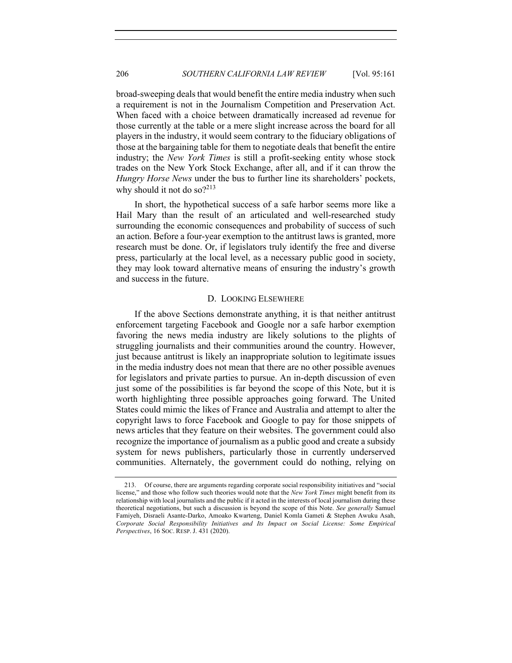broad-sweeping deals that would benefit the entire media industry when such a requirement is not in the Journalism Competition and Preservation Act. When faced with a choice between dramatically increased ad revenue for those currently at the table or a mere slight increase across the board for all players in the industry, it would seem contrary to the fiduciary obligations of those at the bargaining table for them to negotiate deals that benefit the entire industry; the *New York Times* is still a profit-seeking entity whose stock trades on the New York Stock Exchange, after all, and if it can throw the *Hungry Horse News* under the bus to further line its shareholders' pockets, why should it not do so? $2^{13}$ 

In short, the hypothetical success of a safe harbor seems more like a Hail Mary than the result of an articulated and well-researched study surrounding the economic consequences and probability of success of such an action. Before a four-year exemption to the antitrust laws is granted, more research must be done. Or, if legislators truly identify the free and diverse press, particularly at the local level, as a necessary public good in society, they may look toward alternative means of ensuring the industry's growth and success in the future.

# D. LOOKING ELSEWHERE

If the above Sections demonstrate anything, it is that neither antitrust enforcement targeting Facebook and Google nor a safe harbor exemption favoring the news media industry are likely solutions to the plights of struggling journalists and their communities around the country. However, just because antitrust is likely an inappropriate solution to legitimate issues in the media industry does not mean that there are no other possible avenues for legislators and private parties to pursue. An in-depth discussion of even just some of the possibilities is far beyond the scope of this Note, but it is worth highlighting three possible approaches going forward. The United States could mimic the likes of France and Australia and attempt to alter the copyright laws to force Facebook and Google to pay for those snippets of news articles that they feature on their websites. The government could also recognize the importance of journalism as a public good and create a subsidy system for news publishers, particularly those in currently underserved communities. Alternately, the government could do nothing, relying on

<sup>213.</sup> Of course, there are arguments regarding corporate social responsibility initiatives and "social license," and those who follow such theories would note that the *New York Times* might benefit from its relationship with local journalists and the public if it acted in the interests of local journalism during these theoretical negotiations, but such a discussion is beyond the scope of this Note. *See generally* Samuel Famiyeh, Disraeli Asante-Darko, Amoako Kwarteng, Daniel Komla Gameti & Stephen Awuku Asah, *Corporate Social Responsibility Initiatives and Its Impact on Social License: Some Empirical Perspectives*, 16 SOC. RESP. J. 431 (2020).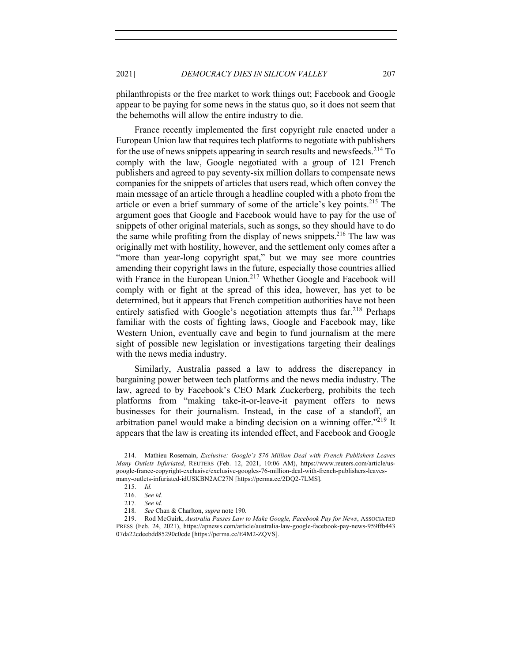philanthropists or the free market to work things out; Facebook and Google appear to be paying for some news in the status quo, so it does not seem that the behemoths will allow the entire industry to die.

France recently implemented the first copyright rule enacted under a European Union law that requires tech platforms to negotiate with publishers for the use of news snippets appearing in search results and newsfeeds.<sup>214</sup> To comply with the law, Google negotiated with a group of 121 French publishers and agreed to pay seventy-six million dollars to compensate news companies for the snippets of articles that users read, which often convey the main message of an article through a headline coupled with a photo from the article or even a brief summary of some of the article's key points.<sup>215</sup> The argument goes that Google and Facebook would have to pay for the use of snippets of other original materials, such as songs, so they should have to do the same while profiting from the display of news snippets.<sup>216</sup> The law was originally met with hostility, however, and the settlement only comes after a "more than year-long copyright spat," but we may see more countries amending their copyright laws in the future, especially those countries allied with France in the European Union.<sup>217</sup> Whether Google and Facebook will comply with or fight at the spread of this idea, however, has yet to be determined, but it appears that French competition authorities have not been entirely satisfied with Google's negotiation attempts thus far.<sup>218</sup> Perhaps familiar with the costs of fighting laws, Google and Facebook may, like Western Union, eventually cave and begin to fund journalism at the mere sight of possible new legislation or investigations targeting their dealings with the news media industry.

Similarly, Australia passed a law to address the discrepancy in bargaining power between tech platforms and the news media industry. The law, agreed to by Facebook's CEO Mark Zuckerberg, prohibits the tech platforms from "making take-it-or-leave-it payment offers to news businesses for their journalism. Instead, in the case of a standoff, an arbitration panel would make a binding decision on a winning offer. $12^{19}$  It appears that the law is creating its intended effect, and Facebook and Google

<sup>214.</sup> Mathieu Rosemain, *Exclusive: Google's \$76 Million Deal with French Publishers Leaves Many Outlets Infuriated*, REUTERS (Feb. 12, 2021, 10:06 AM), https://www.reuters.com/article/usgoogle-france-copyright-exclusive/exclusive-googles-76-million-deal-with-french-publishers-leavesmany-outlets-infuriated-idUSKBN2AC27N [https://perma.cc/2DQ2-7LMS].

<sup>215.</sup> *Id.*

<sup>216.</sup> *See id.*

<sup>217</sup>*. See id.* 218*. See* Chan & Charlton, *supra* note 190.

<sup>219.</sup> Rod McGuirk, *Australia Passes Law to Make Google, Facebook Pay for News*, ASSOCIATED PRESS (Feb. 24, 2021), https://apnews.com/article/australia-law-google-facebook-pay-news-959ffb443 07da22cdeebdd85290c0cde [https://perma.cc/E4M2-ZQVS].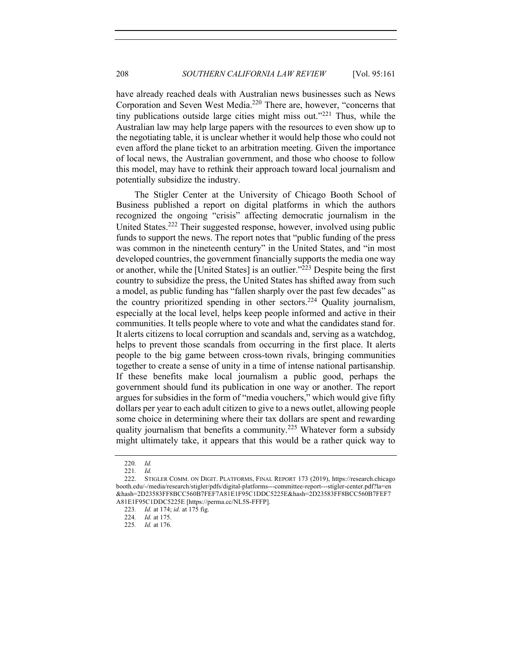have already reached deals with Australian news businesses such as News Corporation and Seven West Media.<sup>220</sup> There are, however, "concerns that tiny publications outside large cities might miss out."<sup>221</sup> Thus, while the Australian law may help large papers with the resources to even show up to the negotiating table, it is unclear whether it would help those who could not even afford the plane ticket to an arbitration meeting. Given the importance of local news, the Australian government, and those who choose to follow this model, may have to rethink their approach toward local journalism and potentially subsidize the industry.

The Stigler Center at the University of Chicago Booth School of Business published a report on digital platforms in which the authors recognized the ongoing "crisis" affecting democratic journalism in the United States.<sup>222</sup> Their suggested response, however, involved using public funds to support the news. The report notes that "public funding of the press was common in the nineteenth century" in the United States, and "in most developed countries, the government financially supports the media one way or another, while the [United States] is an outlier.<sup> $223$ </sup> Despite being the first country to subsidize the press, the United States has shifted away from such a model, as public funding has "fallen sharply over the past few decades" as the country prioritized spending in other sectors.<sup>224</sup> Ouality journalism, especially at the local level, helps keep people informed and active in their communities. It tells people where to vote and what the candidates stand for. It alerts citizens to local corruption and scandals and, serving as a watchdog, helps to prevent those scandals from occurring in the first place. It alerts people to the big game between cross-town rivals, bringing communities together to create a sense of unity in a time of intense national partisanship. If these benefits make local journalism a public good, perhaps the government should fund its publication in one way or another. The report argues for subsidies in the form of "media vouchers," which would give fifty dollars per year to each adult citizen to give to a news outlet, allowing people some choice in determining where their tax dollars are spent and rewarding quality journalism that benefits a community.<sup>225</sup> Whatever form a subsidy might ultimately take, it appears that this would be a rather quick way to

225*. Id.* at 176.

<sup>220</sup>*. Id.*

<sup>221</sup>*. Id.*

<sup>222.</sup> STIGLER COMM. ON DIGIT. PLATFORMS, FINAL REPORT 173 (2019), https://research.chicago booth.edu/-/media/research/stigler/pdfs/digital-platforms---committee-report---stigler-center.pdf?la=en &hash=2D23583FF8BCC560B7FEF7A81E1F95C1DDC5225E&hash=2D23583FF8BCC560B7FEF7 A81E1F95C1DDC5225E [https://perma.cc/NL5S-FFFP].

<sup>223</sup>*. Id.* at 174; *id.* at 175 fig.

<sup>224</sup>*. Id.* at 175.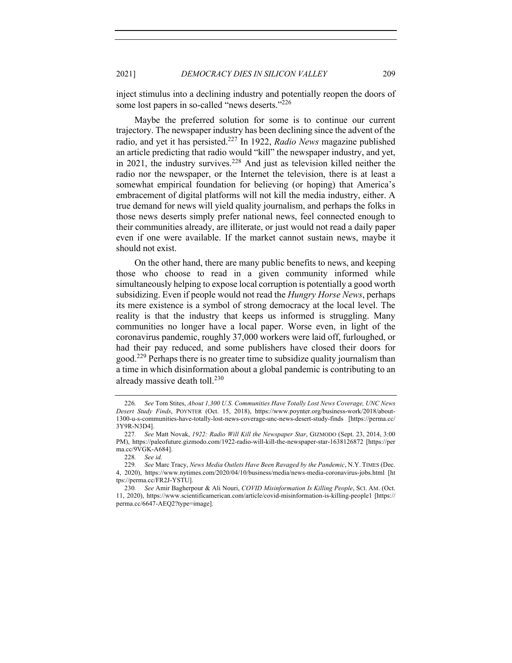inject stimulus into a declining industry and potentially reopen the doors of some lost papers in so-called "news deserts."<sup>226</sup>

Maybe the preferred solution for some is to continue our current trajectory. The newspaper industry has been declining since the advent of the radio, and yet it has persisted.227 In 1922, *Radio News* magazine published an article predicting that radio would "kill" the newspaper industry, and yet, in 2021, the industry survives.<sup>228</sup> And just as television killed neither the radio nor the newspaper, or the Internet the television, there is at least a somewhat empirical foundation for believing (or hoping) that America's embracement of digital platforms will not kill the media industry, either. A true demand for news will yield quality journalism, and perhaps the folks in those news deserts simply prefer national news, feel connected enough to their communities already, are illiterate, or just would not read a daily paper even if one were available. If the market cannot sustain news, maybe it should not exist.

On the other hand, there are many public benefits to news, and keeping those who choose to read in a given community informed while simultaneously helping to expose local corruption is potentially a good worth subsidizing. Even if people would not read the *Hungry Horse News*, perhaps its mere existence is a symbol of strong democracy at the local level. The reality is that the industry that keeps us informed is struggling. Many communities no longer have a local paper. Worse even, in light of the coronavirus pandemic, roughly 37,000 workers were laid off, furloughed, or had their pay reduced, and some publishers have closed their doors for good.<sup>229</sup> Perhaps there is no greater time to subsidize quality journalism than a time in which disinformation about a global pandemic is contributing to an already massive death toll.<sup>230</sup>

<sup>226</sup>*. See* Tom Stites, *About 1,300 U.S. Communities Have Totally Lost News Coverage, UNC News Desert Study Finds*, POYNTER (Oct. 15, 2018), https://www.poynter.org/business-work/2018/about-1300-u-s-communities-have-totally-lost-news-coverage-unc-news-desert-study-finds [https://perma.cc/ 3Y9R-N3D4].

<sup>227</sup>*. See* Matt Novak, *1922: Radio Will Kill the Newspaper Star*, GIZMODO (Sept. 23, 2014, 3:00 PM), https://paleofuture.gizmodo.com/1922-radio-will-kill-the-newspaper-star-1638126872 [https://per ma.cc/9VGK-A684].

<sup>228</sup>*. See id.*

<sup>229</sup>*. See* Marc Tracy, *News Media Outlets Have Been Ravaged by the Pandemic*, N.Y. TIMES (Dec. 4, 2020), https://www.nytimes.com/2020/04/10/business/media/news-media-coronavirus-jobs.html [ht tps://perma.cc/FR2J-YSTU].

<sup>230</sup>*. See* Amir Bagherpour & Ali Nouri, *COVID Misinformation Is Killing People*, SCI. AM. (Oct. 11, 2020), https://www.scientificamerican.com/article/covid-misinformation-is-killing-people1 [https:// perma.cc/6647-AEQ2?type=image].